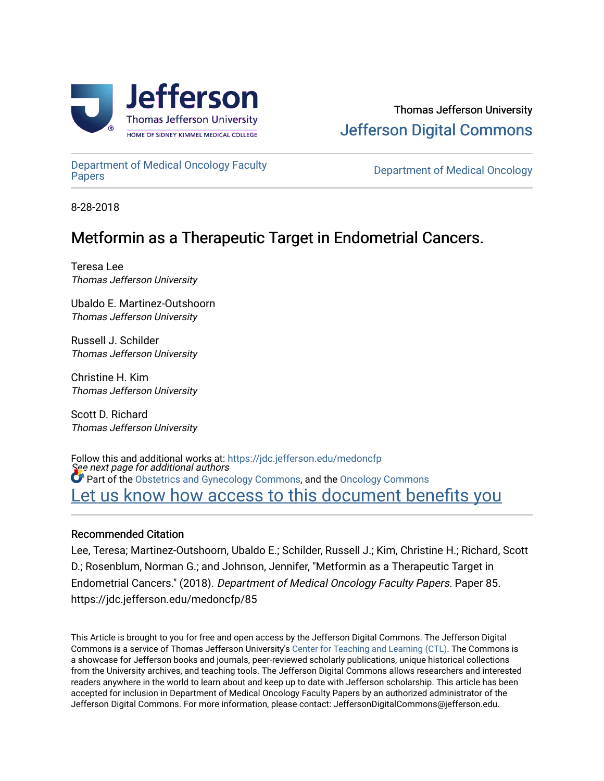

[Department of Medical Oncology Faculty](https://jdc.jefferson.edu/medoncfp) 

**Department of Medical Oncology** 

8-28-2018

## Metformin as a Therapeutic Target in Endometrial Cancers.

Teresa Lee Thomas Jefferson University

Ubaldo E. Martinez-Outshoorn Thomas Jefferson University

Russell J. Schilder Thomas Jefferson University

Christine H. Kim Thomas Jefferson University

Scott D. Richard Thomas Jefferson University

See next page for additional authors Follow this and additional works at: [https://jdc.jefferson.edu/medoncfp](https://jdc.jefferson.edu/medoncfp?utm_source=jdc.jefferson.edu%2Fmedoncfp%2F85&utm_medium=PDF&utm_campaign=PDFCoverPages) **Part of the [Obstetrics and Gynecology Commons,](http://network.bepress.com/hgg/discipline/693?utm_source=jdc.jefferson.edu%2Fmedoncfp%2F85&utm_medium=PDF&utm_campaign=PDFCoverPages) and the [Oncology Commons](http://network.bepress.com/hgg/discipline/694?utm_source=jdc.jefferson.edu%2Fmedoncfp%2F85&utm_medium=PDF&utm_campaign=PDFCoverPages)** Let us know how access to this document benefits you

### Recommended Citation

Lee, Teresa; Martinez-Outshoorn, Ubaldo E.; Schilder, Russell J.; Kim, Christine H.; Richard, Scott D.; Rosenblum, Norman G.; and Johnson, Jennifer, "Metformin as a Therapeutic Target in Endometrial Cancers." (2018). Department of Medical Oncology Faculty Papers. Paper 85. https://jdc.jefferson.edu/medoncfp/85

This Article is brought to you for free and open access by the Jefferson Digital Commons. The Jefferson Digital Commons is a service of Thomas Jefferson University's [Center for Teaching and Learning \(CTL\)](http://www.jefferson.edu/university/teaching-learning.html/). The Commons is a showcase for Jefferson books and journals, peer-reviewed scholarly publications, unique historical collections from the University archives, and teaching tools. The Jefferson Digital Commons allows researchers and interested readers anywhere in the world to learn about and keep up to date with Jefferson scholarship. This article has been accepted for inclusion in Department of Medical Oncology Faculty Papers by an authorized administrator of the Jefferson Digital Commons. For more information, please contact: JeffersonDigitalCommons@jefferson.edu.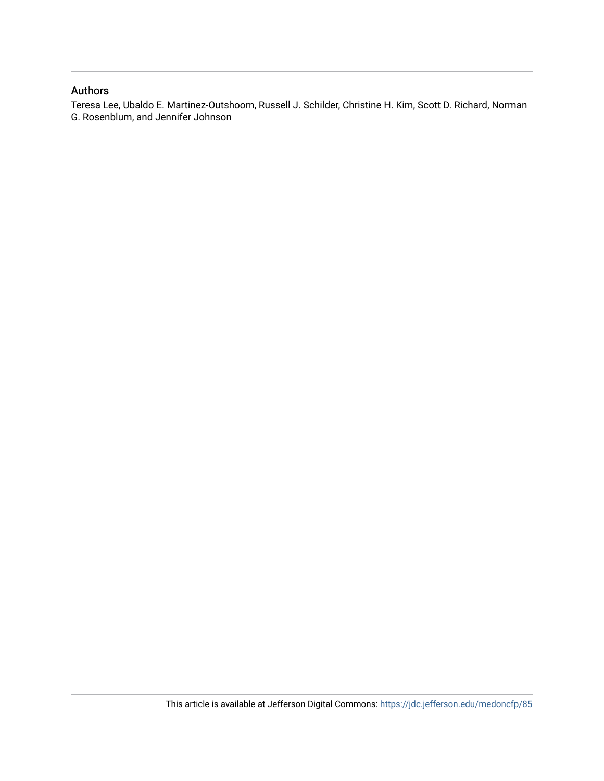### Authors

Teresa Lee, Ubaldo E. Martinez-Outshoorn, Russell J. Schilder, Christine H. Kim, Scott D. Richard, Norman G. Rosenblum, and Jennifer Johnson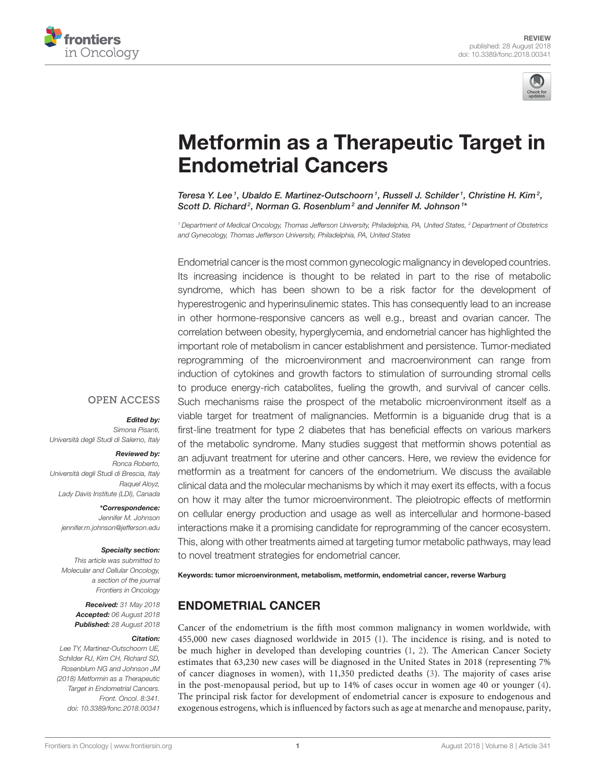



# [Metformin as a Therapeutic Target in](https://www.frontiersin.org/articles/10.3389/fonc.2018.00341/full) Endometrial Cancers

[Teresa Y. Lee](http://loop.frontiersin.org/people/513254/overview) <sup>1</sup>, [Ubaldo E. Martinez-Outschoorn](http://loop.frontiersin.org/people/406436/overview) <sup>1</sup>, Russell J. Schilder <sup>1</sup>, Christine H. Kim <sup>2</sup>, Scott D. Richard<sup>2</sup>, Norman G. Rosenblum<sup>2</sup> and [Jennifer M. Johnson](http://loop.frontiersin.org/people/415609/overview)<sup>1\*</sup>

<sup>1</sup> Department of Medical Oncology, Thomas Jefferson University, Philadelphia, PA, United States, <sup>2</sup> Department of Obstetrics and Gynecology, Thomas Jefferson University, Philadelphia, PA, United States

Endometrial cancer is the most common gynecologic malignancy in developed countries. Its increasing incidence is thought to be related in part to the rise of metabolic syndrome, which has been shown to be a risk factor for the development of hyperestrogenic and hyperinsulinemic states. This has consequently lead to an increase in other hormone-responsive cancers as well e.g., breast and ovarian cancer. The correlation between obesity, hyperglycemia, and endometrial cancer has highlighted the important role of metabolism in cancer establishment and persistence. Tumor-mediated reprogramming of the microenvironment and macroenvironment can range from induction of cytokines and growth factors to stimulation of surrounding stromal cells to produce energy-rich catabolites, fueling the growth, and survival of cancer cells. Such mechanisms raise the prospect of the metabolic microenvironment itself as a viable target for treatment of malignancies. Metformin is a biguanide drug that is a first-line treatment for type 2 diabetes that has beneficial effects on various markers of the metabolic syndrome. Many studies suggest that metformin shows potential as an adjuvant treatment for uterine and other cancers. Here, we review the evidence for metformin as a treatment for cancers of the endometrium. We discuss the available clinical data and the molecular mechanisms by which it may exert its effects, with a focus on how it may alter the tumor microenvironment. The pleiotropic effects of metformin on cellular energy production and usage as well as intercellular and hormone-based interactions make it a promising candidate for reprogramming of the cancer ecosystem. This, along with other treatments aimed at targeting tumor metabolic pathways, may lead to novel treatment strategies for endometrial cancer.

Keywords: tumor microenvironment, metabolism, metformin, endometrial cancer, reverse Warburg

### ENDOMETRIAL CANCER

Cancer of the endometrium is the fifth most common malignancy in women worldwide, with 455,000 new cases diagnosed worldwide in 2015 [\(1\)](#page-11-0). The incidence is rising, and is noted to be much higher in developed than developing countries [\(1,](#page-11-0) [2\)](#page-11-1). The American Cancer Society estimates that 63,230 new cases will be diagnosed in the United States in 2018 (representing 7% of cancer diagnoses in women), with 11,350 predicted deaths [\(3\)](#page-11-2). The majority of cases arise in the post-menopausal period, but up to 14% of cases occur in women age 40 or younger [\(4\)](#page-11-3). The principal risk factor for development of endometrial cancer is exposure to endogenous and exogenous estrogens, which is influenced by factors such as age at menarche and menopause, parity,

### **OPEN ACCESS**

### Edited by:

Simona Pisanti, Università degli Studi di Salerno, Italy

#### Reviewed by:

Ronca Roberto, Università degli Studi di Brescia, Italy Raquel Aloyz, Lady Davis Institute (LDI), Canada

\*Correspondence: Jennifer M. Johnson [jennifer.m.johnson@jefferson.edu](mailto:jennifer.m.johnson@jefferson.edu)

#### Specialty section:

This article was submitted to Molecular and Cellular Oncology, a section of the journal Frontiers in Oncology

> Received: 31 May 2018 Accepted: 06 August 2018 Published: 28 August 2018

#### Citation:

Lee TY, Martinez-Outschoorn UE, Schilder RJ, Kim CH, Richard SD, Rosenblum NG and Johnson JM (2018) Metformin as a Therapeutic Target in Endometrial Cancers. Front. Oncol. 8:341. doi: [10.3389/fonc.2018.00341](https://doi.org/10.3389/fonc.2018.00341)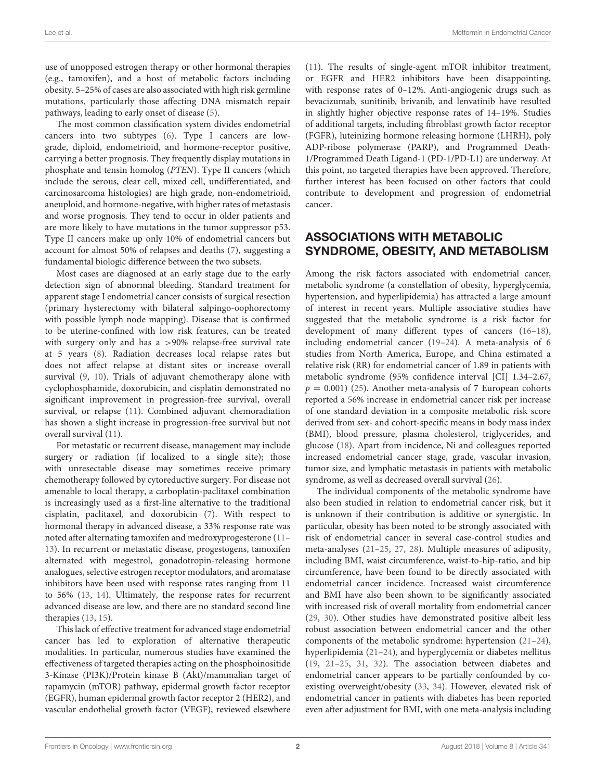use of unopposed estrogen therapy or other hormonal therapies (e.g., tamoxifen), and a host of metabolic factors including obesity. 5–25% of cases are also associated with high risk germline mutations, particularly those affecting DNA mismatch repair pathways, leading to early onset of disease [\(5\)](#page-11-4).

The most common classification system divides endometrial cancers into two subtypes [\(6\)](#page-11-5). Type I cancers are lowgrade, diploid, endometrioid, and hormone-receptor positive, carrying a better prognosis. They frequently display mutations in phosphate and tensin homolog (PTEN). Type II cancers (which include the serous, clear cell, mixed cell, undifferentiated, and carcinosarcoma histologies) are high grade, non-endometrioid, aneuploid, and hormone-negative, with higher rates of metastasis and worse prognosis. They tend to occur in older patients and are more likely to have mutations in the tumor suppressor p53. Type II cancers make up only 10% of endometrial cancers but account for almost 50% of relapses and deaths [\(7\)](#page-11-6), suggesting a fundamental biologic difference between the two subsets.

Most cases are diagnosed at an early stage due to the early detection sign of abnormal bleeding. Standard treatment for apparent stage I endometrial cancer consists of surgical resection (primary hysterectomy with bilateral salpingo-oophorectomy with possible lymph node mapping). Disease that is confirmed to be uterine-confined with low risk features, can be treated with surgery only and has a >90% relapse-free survival rate at 5 years [\(8\)](#page-11-7). Radiation decreases local relapse rates but does not affect relapse at distant sites or increase overall survival [\(9,](#page-11-8) [10\)](#page-11-9). Trials of adjuvant chemotherapy alone with cyclophosphamide, doxorubicin, and cisplatin demonstrated no significant improvement in progression-free survival, overall survival, or relapse [\(11\)](#page-12-0). Combined adjuvant chemoradiation has shown a slight increase in progression-free survival but not overall survival [\(11\)](#page-12-0).

For metastatic or recurrent disease, management may include surgery or radiation (if localized to a single site); those with unresectable disease may sometimes receive primary chemotherapy followed by cytoreductive surgery. For disease not amenable to local therapy, a carboplatin-paclitaxel combination is increasingly used as a first-line alternative to the traditional cisplatin, paclitaxel, and doxorubicin [\(7\)](#page-11-6). With respect to hormonal therapy in advanced disease, a 33% response rate was noted after alternating tamoxifen and medroxyprogesterone [\(11–](#page-12-0) [13\)](#page-12-1). In recurrent or metastatic disease, progestogens, tamoxifen alternated with megestrol, gonadotropin-releasing hormone analogues, selective estrogen receptor modulators, and aromatase inhibitors have been used with response rates ranging from 11 to 56% [\(13,](#page-12-1) [14\)](#page-12-2). Ultimately, the response rates for recurrent advanced disease are low, and there are no standard second line therapies [\(13,](#page-12-1) [15\)](#page-12-3).

This lack of effective treatment for advanced stage endometrial cancer has led to exploration of alternative therapeutic modalities. In particular, numerous studies have examined the effectiveness of targeted therapies acting on the phosphoinositide 3-Kinase (PI3K)/Protein kinase B (Akt)/mammalian target of rapamycin (mTOR) pathway, epidermal growth factor receptor (EGFR), human epidermal growth factor receptor 2 (HER2), and vascular endothelial growth factor (VEGF), reviewed elsewhere [\(11\)](#page-12-0). The results of single-agent mTOR inhibitor treatment, or EGFR and HER2 inhibitors have been disappointing, with response rates of 0–12%. Anti-angiogenic drugs such as bevacizumab, sunitinib, brivanib, and lenvatinib have resulted in slightly higher objective response rates of 14–19%. Studies of additional targets, including fibroblast growth factor receptor (FGFR), luteinizing hormone releasing hormone (LHRH), poly ADP-ribose polymerase (PARP), and Programmed Death-1/Programmed Death Ligand-1 (PD-1/PD-L1) are underway. At this point, no targeted therapies have been approved. Therefore, further interest has been focused on other factors that could contribute to development and progression of endometrial cancer.

### ASSOCIATIONS WITH METABOLIC SYNDROME, OBESITY, AND METABOLISM

Among the risk factors associated with endometrial cancer, metabolic syndrome (a constellation of obesity, hyperglycemia, hypertension, and hyperlipidemia) has attracted a large amount of interest in recent years. Multiple associative studies have suggested that the metabolic syndrome is a risk factor for development of many different types of cancers [\(16–](#page-12-4)[18\)](#page-12-5), including endometrial cancer [\(19](#page-12-6)[–24\)](#page-12-7). A meta-analysis of 6 studies from North America, Europe, and China estimated a relative risk (RR) for endometrial cancer of 1.89 in patients with metabolic syndrome (95% confidence interval [CI] 1.34–2.67,  $p = 0.001$ ) [\(25\)](#page-12-8). Another meta-analysis of 7 European cohorts reported a 56% increase in endometrial cancer risk per increase of one standard deviation in a composite metabolic risk score derived from sex- and cohort-specific means in body mass index (BMI), blood pressure, plasma cholesterol, triglycerides, and glucose [\(18\)](#page-12-5). Apart from incidence, Ni and colleagues reported increased endometrial cancer stage, grade, vascular invasion, tumor size, and lymphatic metastasis in patients with metabolic syndrome, as well as decreased overall survival [\(26\)](#page-12-9).

The individual components of the metabolic syndrome have also been studied in relation to endometrial cancer risk, but it is unknown if their contribution is additive or synergistic. In particular, obesity has been noted to be strongly associated with risk of endometrial cancer in several case-control studies and meta-analyses [\(21](#page-12-10)[–25,](#page-12-8) [27,](#page-12-11) [28\)](#page-12-12). Multiple measures of adiposity, including BMI, waist circumference, waist-to-hip-ratio, and hip circumference, have been found to be directly associated with endometrial cancer incidence. Increased waist circumference and BMI have also been shown to be significantly associated with increased risk of overall mortality from endometrial cancer [\(29,](#page-12-13) [30\)](#page-12-14). Other studies have demonstrated positive albeit less robust association between endometrial cancer and the other components of the metabolic syndrome: hypertension [\(21–](#page-12-10)[24\)](#page-12-7), hyperlipidemia [\(21–](#page-12-10)[24\)](#page-12-7), and hyperglycemia or diabetes mellitus [\(19,](#page-12-6) [21–](#page-12-10)[25,](#page-12-8) [31,](#page-12-15) [32\)](#page-12-16). The association between diabetes and endometrial cancer appears to be partially confounded by coexisting overweight/obesity [\(33,](#page-12-17) [34\)](#page-12-18). However, elevated risk of endometrial cancer in patients with diabetes has been reported even after adjustment for BMI, with one meta-analysis including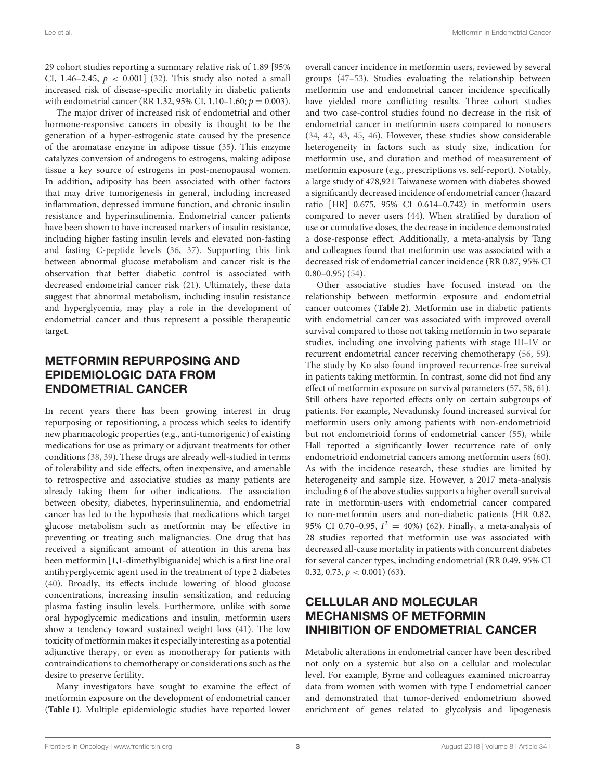29 cohort studies reporting a summary relative risk of 1.89 [95% CI, 1.46–2.45,  $p < 0.001$ ] [\(32\)](#page-12-16). This study also noted a small increased risk of disease-specific mortality in diabetic patients with endometrial cancer (RR 1.32, 95% CI, 1.10–1.60;  $p = 0.003$ ).

The major driver of increased risk of endometrial and other hormone-responsive cancers in obesity is thought to be the generation of a hyper-estrogenic state caused by the presence of the aromatase enzyme in adipose tissue [\(35\)](#page-12-19). This enzyme catalyzes conversion of androgens to estrogens, making adipose tissue a key source of estrogens in post-menopausal women. In addition, adiposity has been associated with other factors that may drive tumorigenesis in general, including increased inflammation, depressed immune function, and chronic insulin resistance and hyperinsulinemia. Endometrial cancer patients have been shown to have increased markers of insulin resistance, including higher fasting insulin levels and elevated non-fasting and fasting C-peptide levels [\(36,](#page-12-20) [37\)](#page-12-21). Supporting this link between abnormal glucose metabolism and cancer risk is the observation that better diabetic control is associated with decreased endometrial cancer risk [\(21\)](#page-12-10). Ultimately, these data suggest that abnormal metabolism, including insulin resistance and hyperglycemia, may play a role in the development of endometrial cancer and thus represent a possible therapeutic target.

### METFORMIN REPURPOSING AND EPIDEMIOLOGIC DATA FROM ENDOMETRIAL CANCER

In recent years there has been growing interest in drug repurposing or repositioning, a process which seeks to identify new pharmacologic properties (e.g., anti-tumorigenic) of existing medications for use as primary or adjuvant treatments for other conditions [\(38,](#page-12-22) [39\)](#page-12-23). These drugs are already well-studied in terms of tolerability and side effects, often inexpensive, and amenable to retrospective and associative studies as many patients are already taking them for other indications. The association between obesity, diabetes, hyperinsulinemia, and endometrial cancer has led to the hypothesis that medications which target glucose metabolism such as metformin may be effective in preventing or treating such malignancies. One drug that has received a significant amount of attention in this arena has been metformin [1,1-dimethylbiguanide] which is a first line oral antihyperglycemic agent used in the treatment of type 2 diabetes [\(40\)](#page-12-24). Broadly, its effects include lowering of blood glucose concentrations, increasing insulin sensitization, and reducing plasma fasting insulin levels. Furthermore, unlike with some oral hypoglycemic medications and insulin, metformin users show a tendency toward sustained weight loss [\(41\)](#page-12-25). The low toxicity of metformin makes it especially interesting as a potential adjunctive therapy, or even as monotherapy for patients with contraindications to chemotherapy or considerations such as the desire to preserve fertility.

Many investigators have sought to examine the effect of metformin exposure on the development of endometrial cancer (**[Table 1](#page-5-0)**). Multiple epidemiologic studies have reported lower overall cancer incidence in metformin users, reviewed by several groups [\(47–](#page-12-26)[53\)](#page-13-0). Studies evaluating the relationship between metformin use and endometrial cancer incidence specifically have yielded more conflicting results. Three cohort studies and two case-control studies found no decrease in the risk of endometrial cancer in metformin users compared to nonusers [\(34,](#page-12-18) [42,](#page-12-27) [43,](#page-12-28) [45,](#page-12-29) [46\)](#page-12-30). However, these studies show considerable heterogeneity in factors such as study size, indication for metformin use, and duration and method of measurement of metformin exposure (e.g., prescriptions vs. self-report). Notably, a large study of 478,921 Taiwanese women with diabetes showed a significantly decreased incidence of endometrial cancer (hazard ratio [HR] 0.675, 95% CI 0.614–0.742) in metformin users compared to never users [\(44\)](#page-12-31). When stratified by duration of use or cumulative doses, the decrease in incidence demonstrated a dose-response effect. Additionally, a meta-analysis by Tang and colleagues found that metformin use was associated with a decreased risk of endometrial cancer incidence (RR 0.87, 95% CI  $0.80 - 0.95$ ) [\(54\)](#page-13-1).

Other associative studies have focused instead on the relationship between metformin exposure and endometrial cancer outcomes (**[Table 2](#page-6-0)**). Metformin use in diabetic patients with endometrial cancer was associated with improved overall survival compared to those not taking metformin in two separate studies, including one involving patients with stage III–IV or recurrent endometrial cancer receiving chemotherapy [\(56,](#page-13-2) [59\)](#page-13-3). The study by Ko also found improved recurrence-free survival in patients taking metformin. In contrast, some did not find any effect of metformin exposure on survival parameters [\(57,](#page-13-4) [58,](#page-13-5) [61\)](#page-13-6). Still others have reported effects only on certain subgroups of patients. For example, Nevadunsky found increased survival for metformin users only among patients with non-endometrioid but not endometrioid forms of endometrial cancer [\(55\)](#page-13-7), while Hall reported a significantly lower recurrence rate of only endometrioid endometrial cancers among metformin users [\(60\)](#page-13-8). As with the incidence research, these studies are limited by heterogeneity and sample size. However, a 2017 meta-analysis including 6 of the above studies supports a higher overall survival rate in metformin-users with endometrial cancer compared to non-metformin users and non-diabetic patients (HR 0.82, 95% CI 0.70-0.95,  $I^2 = 40$ %) [\(62\)](#page-13-9). Finally, a meta-analysis of 28 studies reported that metformin use was associated with decreased all-cause mortality in patients with concurrent diabetes for several cancer types, including endometrial (RR 0.49, 95% CI 0.32, 0.73,  $p < 0.001$ ) [\(63\)](#page-13-10).

### CELLULAR AND MOLECULAR MECHANISMS OF METFORMIN INHIBITION OF ENDOMETRIAL CANCER

Metabolic alterations in endometrial cancer have been described not only on a systemic but also on a cellular and molecular level. For example, Byrne and colleagues examined microarray data from women with women with type I endometrial cancer and demonstrated that tumor-derived endometrium showed enrichment of genes related to glycolysis and lipogenesis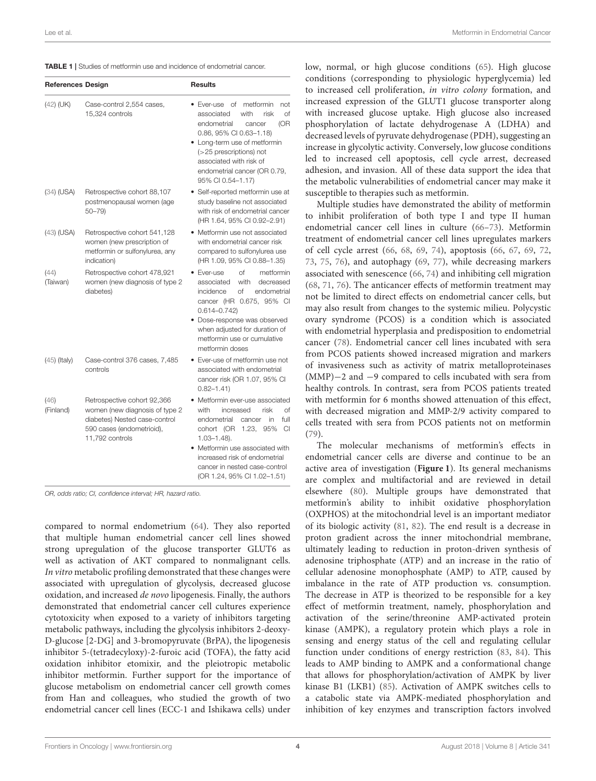<span id="page-5-0"></span>

|  |  |  | <b>TABLE 1</b> Studies of metformin use and incidence of endometrial cancer. |
|--|--|--|------------------------------------------------------------------------------|
|--|--|--|------------------------------------------------------------------------------|

| <b>References Design</b> |                                                                                                                                                | <b>Results</b>                                                                                                                                                                                                                                                                                        |
|--------------------------|------------------------------------------------------------------------------------------------------------------------------------------------|-------------------------------------------------------------------------------------------------------------------------------------------------------------------------------------------------------------------------------------------------------------------------------------------------------|
| $(42)$ (UK)              | Case-control 2,554 cases,<br>15,324 controls                                                                                                   | • Ever-use of<br>metformin<br>not<br>associated<br>with<br>risk<br>of<br>(OR<br>endometrial<br>cancer<br>0.86, 95% CI 0.63-1.18)<br>• Long-term use of metformin<br>(>25 prescriptions) not<br>associated with risk of<br>endometrial cancer (OR 0.79,<br>95% CI 0.54-1.17)                           |
| $(34)$ (USA)             | Retrospective cohort 88,107<br>postmenopausal women (age<br>$50 - 79$                                                                          | • Self-reported metformin use at<br>study baseline not associated<br>with risk of endometrial cancer<br>(HR 1.64, 95% CI 0.92-2.91)                                                                                                                                                                   |
| $(43)$ (USA)             | Retrospective cohort 541,128<br>women (new prescription of<br>metformin or sulfonylurea, any<br>indication)                                    | • Metformin use not associated<br>with endometrial cancer risk<br>compared to sulfonylurea use<br>(HR 1.09, 95% CI 0.88-1.35)                                                                                                                                                                         |
| (44)<br>(Taiwan)         | Retrospective cohort 478,921<br>women (new diagnosis of type 2<br>diabetes)                                                                    | • Ever-use<br>Ωf<br>metformin<br>associated<br>with<br>decreased<br>incidence<br>Οf<br>endometrial<br>cancer (HR 0.675, 95% CI<br>$0.614 - 0.742$<br>· Dose-response was observed<br>when adiusted for duration of<br>metformin use or cumulative<br>metformin doses                                  |
| $(45)$ (Italy)           | Case-control 376 cases, 7,485<br>controls                                                                                                      | • Ever-use of metformin use not<br>associated with endometrial<br>cancer risk (OR 1.07, 95% CI<br>$0.82 - 1.41$                                                                                                                                                                                       |
| (46)<br>(Finland)        | Retrospective cohort 92,366<br>women (new diagnosis of type 2<br>diabetes) Nested case-control<br>590 cases (endometrioid),<br>11,792 controls | • Metformin ever-use associated<br>with<br>increased<br>risk<br>Ωf<br>endometrial<br>in<br>full<br>cancer<br>cohort (OR<br>1.23.<br>95%<br>CI<br>$1.03 - 1.48$ ).<br>• Metformin use associated with<br>increased risk of endometrial<br>cancer in nested case-control<br>(OR 1.24, 95% CI 1.02-1.51) |

OR, odds ratio; CI, confidence interval; HR, hazard ratio.

compared to normal endometrium [\(64\)](#page-13-11). They also reported that multiple human endometrial cancer cell lines showed strong upregulation of the glucose transporter GLUT6 as well as activation of AKT compared to nonmalignant cells. In vitro metabolic profiling demonstrated that these changes were associated with upregulation of glycolysis, decreased glucose oxidation, and increased de novo lipogenesis. Finally, the authors demonstrated that endometrial cancer cell cultures experience cytotoxicity when exposed to a variety of inhibitors targeting metabolic pathways, including the glycolysis inhibitors 2-deoxy-D-glucose [2-DG] and 3-bromopyruvate (BrPA), the lipogenesis inhibitor 5-(tetradecyloxy)-2-furoic acid (TOFA), the fatty acid oxidation inhibitor etomixir, and the pleiotropic metabolic inhibitor metformin. Further support for the importance of glucose metabolism on endometrial cancer cell growth comes from Han and colleagues, who studied the growth of two endometrial cancer cell lines (ECC-1 and Ishikawa cells) under low, normal, or high glucose conditions [\(65\)](#page-13-12). High glucose conditions (corresponding to physiologic hyperglycemia) led to increased cell proliferation, in vitro colony formation, and increased expression of the GLUT1 glucose transporter along with increased glucose uptake. High glucose also increased phosphorylation of lactate dehydrogenase A (LDHA) and decreased levels of pyruvate dehydrogenase (PDH), suggesting an increase in glycolytic activity. Conversely, low glucose conditions led to increased cell apoptosis, cell cycle arrest, decreased adhesion, and invasion. All of these data support the idea that the metabolic vulnerabilities of endometrial cancer may make it susceptible to therapies such as metformin.

Multiple studies have demonstrated the ability of metformin to inhibit proliferation of both type I and type II human endometrial cancer cell lines in culture [\(66–](#page-13-13)[73\)](#page-13-14). Metformin treatment of endometrial cancer cell lines upregulates markers of cell cycle arrest [\(66,](#page-13-13) [68,](#page-13-15) [69,](#page-13-16) [74\)](#page-13-17), apoptosis [\(66,](#page-13-13) [67,](#page-13-18) [69,](#page-13-16) [72,](#page-13-19) [73,](#page-13-14) [75,](#page-13-20) [76\)](#page-13-21), and autophagy [\(69,](#page-13-16) [77\)](#page-13-22), while decreasing markers associated with senescence [\(66,](#page-13-13) [74\)](#page-13-17) and inhibiting cell migration [\(68,](#page-13-15) [71,](#page-13-23) [76\)](#page-13-21). The anticancer effects of metformin treatment may not be limited to direct effects on endometrial cancer cells, but may also result from changes to the systemic milieu. Polycystic ovary syndrome (PCOS) is a condition which is associated with endometrial hyperplasia and predisposition to endometrial cancer [\(78\)](#page-13-24). Endometrial cancer cell lines incubated with sera from PCOS patients showed increased migration and markers of invasiveness such as activity of matrix metalloproteinases (MMP)−2 and −9 compared to cells incubated with sera from healthy controls. In contrast, sera from PCOS patients treated with metformin for 6 months showed attenuation of this effect, with decreased migration and MMP-2/9 activity compared to cells treated with sera from PCOS patients not on metformin [\(79\)](#page-13-25).

The molecular mechanisms of metformin's effects in endometrial cancer cells are diverse and continue to be an active area of investigation (**[Figure 1](#page-7-0)**). Its general mechanisms are complex and multifactorial and are reviewed in detail elsewhere [\(80\)](#page-13-26). Multiple groups have demonstrated that metformin's ability to inhibit oxidative phosphorylation (OXPHOS) at the mitochondrial level is an important mediator of its biologic activity [\(81,](#page-13-27) [82\)](#page-13-28). The end result is a decrease in proton gradient across the inner mitochondrial membrane, ultimately leading to reduction in proton-driven synthesis of adenosine triphosphate (ATP) and an increase in the ratio of cellular adenosine monophosphate (AMP) to ATP, caused by imbalance in the rate of ATP production vs. consumption. The decrease in ATP is theorized to be responsible for a key effect of metformin treatment, namely, phosphorylation and activation of the serine/threonine AMP-activated protein kinase (AMPK), a regulatory protein which plays a role in sensing and energy status of the cell and regulating cellular function under conditions of energy restriction [\(83,](#page-13-29) [84\)](#page-13-30). This leads to AMP binding to AMPK and a conformational change that allows for phosphorylation/activation of AMPK by liver kinase B1 (LKB1) [\(85\)](#page-13-31). Activation of AMPK switches cells to a catabolic state via AMPK-mediated phosphorylation and inhibition of key enzymes and transcription factors involved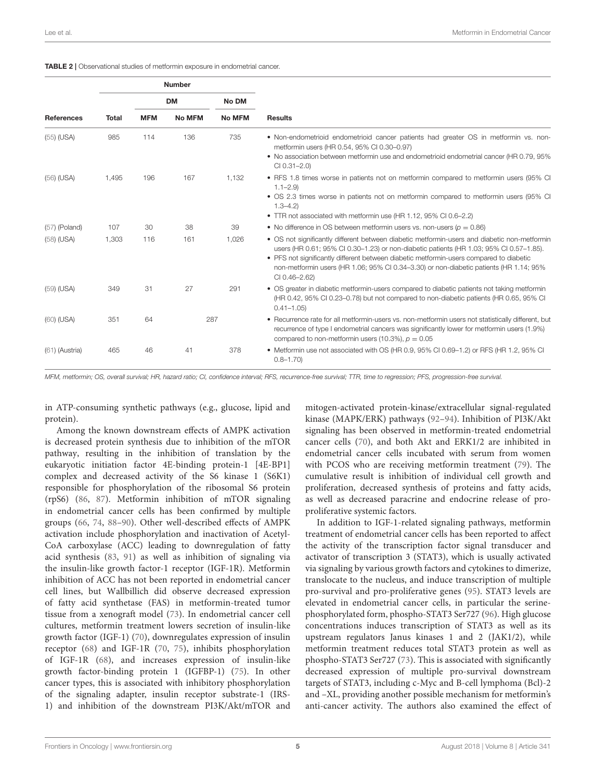<span id="page-6-0"></span>TABLE 2 | Observational studies of metformin exposure in endometrial cancer.

|                   |              |            | <b>Number</b> |               |                                                                                                                                                                                                                                                                                                                                                                                                 |
|-------------------|--------------|------------|---------------|---------------|-------------------------------------------------------------------------------------------------------------------------------------------------------------------------------------------------------------------------------------------------------------------------------------------------------------------------------------------------------------------------------------------------|
|                   |              |            | <b>DM</b>     | No DM         |                                                                                                                                                                                                                                                                                                                                                                                                 |
| <b>References</b> | <b>Total</b> | <b>MFM</b> | <b>No MFM</b> | <b>No MFM</b> | <b>Results</b>                                                                                                                                                                                                                                                                                                                                                                                  |
| $(55)$ (USA)      | 985          | 114        | 136           | 735           | • Non-endometrioid endometrioid cancer patients had greater OS in metformin vs. non-<br>metformin users (HR 0.54, 95% CI 0.30-0.97)<br>• No association between metformin use and endometrioid endometrial cancer (HR 0.79, 95%)<br>$Cl$ $0.31 - 2.0$                                                                                                                                           |
| $(56)$ (USA)      | 1.495        | 196        | 167           | 1.132         | • RFS 1.8 times worse in patients not on metformin compared to metformin users (95% CI<br>$1.1 - 2.9$<br>• OS 2.3 times worse in patients not on metformin compared to metformin users (95% CI<br>$1.3 - 4.2$<br>• TTR not associated with metformin use (HR 1.12, 95% CI 0.6-2.2)                                                                                                              |
| $(57)$ (Poland)   | 107          | 30         | 38            | 39            | • No difference in OS between metformin users vs. non-users ( $p = 0.86$ )                                                                                                                                                                                                                                                                                                                      |
| $(58)$ (USA)      | 1,303        | 116        | 161           | 1,026         | • OS not significantly different between diabetic metformin-users and diabetic non-metformin<br>users (HR 0.61; 95% CI 0.30–1.23) or non-diabetic patients (HR 1.03; 95% CI 0.57–1.85).<br>• PFS not significantly different between diabetic metformin-users compared to diabetic<br>non-metformin users (HR 1.06; 95% CI 0.34-3.30) or non-diabetic patients (HR 1.14; 95%<br>$Cl$ 0.46-2.62) |
| $(59)$ (USA)      | 349          | 31         | 27            | 291           | • OS greater in diabetic metformin-users compared to diabetic patients not taking metformin<br>(HR 0.42, 95% CI 0.23-0.78) but not compared to non-diabetic patients (HR 0.65, 95% CI<br>$0.41 - 1.05$                                                                                                                                                                                          |
| (60) (USA)        | 351          | 64         |               | 287           | • Recurrence rate for all metformin-users vs. non-metformin users not statistically different, but<br>recurrence of type I endometrial cancers was significantly lower for metformin users (1.9%)<br>compared to non-metformin users (10.3%), $p = 0.05$                                                                                                                                        |
| (61) (Austria)    | 465          | 46         | 41            | 378           | • Metformin use not associated with OS (HR 0.9, 95% CI 0.69–1.2) or RFS (HR 1.2, 95% CI<br>$0.8 - 1.70$                                                                                                                                                                                                                                                                                         |

MFM, metformin; OS, overall survival; HR, hazard ratio; CI, confidence interval; RFS, recurrence-free survival; TTR, time to regression; PFS, progression-free survival.

in ATP-consuming synthetic pathways (e.g., glucose, lipid and protein).

Among the known downstream effects of AMPK activation is decreased protein synthesis due to inhibition of the mTOR pathway, resulting in the inhibition of translation by the eukaryotic initiation factor 4E-binding protein-1 [4E-BP1] complex and decreased activity of the S6 kinase 1 (S6K1) responsible for phosphorylation of the ribosomal S6 protein (rpS6) [\(86,](#page-13-32) [87\)](#page-14-0). Metformin inhibition of mTOR signaling in endometrial cancer cells has been confirmed by multiple groups [\(66,](#page-13-13) [74,](#page-13-17) [88–](#page-14-1)[90\)](#page-14-2). Other well-described effects of AMPK activation include phosphorylation and inactivation of Acetyl-CoA carboxylase (ACC) leading to downregulation of fatty acid synthesis [\(83,](#page-13-29) [91\)](#page-14-3) as well as inhibition of signaling via the insulin-like growth factor-1 receptor (IGF-1R). Metformin inhibition of ACC has not been reported in endometrial cancer cell lines, but Wallbillich did observe decreased expression of fatty acid synthetase (FAS) in metformin-treated tumor tissue from a xenograft model [\(73\)](#page-13-14). In endometrial cancer cell cultures, metformin treatment lowers secretion of insulin-like growth factor (IGF-1) [\(70\)](#page-13-33), downregulates expression of insulin receptor [\(68\)](#page-13-15) and IGF-1R [\(70,](#page-13-33) [75\)](#page-13-20), inhibits phosphorylation of IGF-1R [\(68\)](#page-13-15), and increases expression of insulin-like growth factor-binding protein 1 (IGFBP-1) [\(75\)](#page-13-20). In other cancer types, this is associated with inhibitory phosphorylation of the signaling adapter, insulin receptor substrate-1 (IRS-1) and inhibition of the downstream PI3K/Akt/mTOR and mitogen-activated protein-kinase/extracellular signal-regulated kinase (MAPK/ERK) pathways [\(92](#page-14-4)[–94\)](#page-14-5). Inhibition of PI3K/Akt signaling has been observed in metformin-treated endometrial cancer cells [\(70\)](#page-13-33), and both Akt and ERK1/2 are inhibited in endometrial cancer cells incubated with serum from women with PCOS who are receiving metformin treatment [\(79\)](#page-13-25). The cumulative result is inhibition of individual cell growth and proliferation, decreased synthesis of proteins and fatty acids, as well as decreased paracrine and endocrine release of proproliferative systemic factors.

In addition to IGF-1-related signaling pathways, metformin treatment of endometrial cancer cells has been reported to affect the activity of the transcription factor signal transducer and activator of transcription 3 (STAT3), which is usually activated via signaling by various growth factors and cytokines to dimerize, translocate to the nucleus, and induce transcription of multiple pro-survival and pro-proliferative genes [\(95\)](#page-14-6). STAT3 levels are elevated in endometrial cancer cells, in particular the serinephosphorylated form, phospho-STAT3 Ser727 [\(96\)](#page-14-7). High glucose concentrations induces transcription of STAT3 as well as its upstream regulators Janus kinases 1 and 2 (JAK1/2), while metformin treatment reduces total STAT3 protein as well as phospho-STAT3 Ser727 [\(73\)](#page-13-14). This is associated with significantly decreased expression of multiple pro-survival downstream targets of STAT3, including c-Myc and B-cell lymphoma (Bcl)-2 and –XL, providing another possible mechanism for metformin's anti-cancer activity. The authors also examined the effect of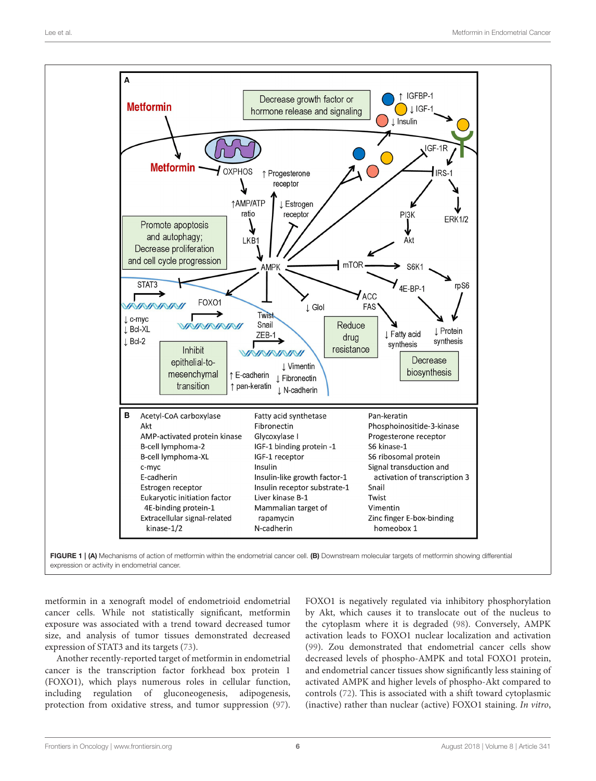

<span id="page-7-0"></span>FIGURE 1 | (A) Mechanisms of action of metformin within the endometrial cancer cell. (B) Downstream molecular targets of metformin showing differential expression or activity in endometrial cancer.

metformin in a xenograft model of endometrioid endometrial cancer cells. While not statistically significant, metformin exposure was associated with a trend toward decreased tumor size, and analysis of tumor tissues demonstrated decreased expression of STAT3 and its targets [\(73\)](#page-13-14).

Another recently-reported target of metformin in endometrial cancer is the transcription factor forkhead box protein 1 (FOXO1), which plays numerous roles in cellular function, including regulation of gluconeogenesis, adipogenesis, protection from oxidative stress, and tumor suppression [\(97\)](#page-14-8). FOXO1 is negatively regulated via inhibitory phosphorylation by Akt, which causes it to translocate out of the nucleus to the cytoplasm where it is degraded [\(98\)](#page-14-9). Conversely, AMPK activation leads to FOXO1 nuclear localization and activation [\(99\)](#page-14-10). Zou demonstrated that endometrial cancer cells show decreased levels of phospho-AMPK and total FOXO1 protein, and endometrial cancer tissues show significantly less staining of activated AMPK and higher levels of phospho-Akt compared to controls [\(72\)](#page-13-19). This is associated with a shift toward cytoplasmic (inactive) rather than nuclear (active) FOXO1 staining. In vitro,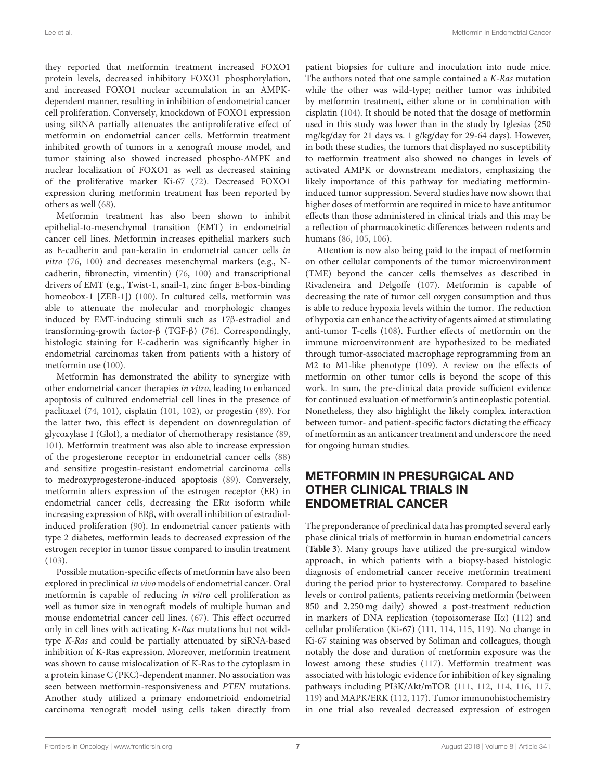they reported that metformin treatment increased FOXO1 protein levels, decreased inhibitory FOXO1 phosphorylation, and increased FOXO1 nuclear accumulation in an AMPKdependent manner, resulting in inhibition of endometrial cancer cell proliferation. Conversely, knockdown of FOXO1 expression using siRNA partially attenuates the antiproliferative effect of metformin on endometrial cancer cells. Metformin treatment inhibited growth of tumors in a xenograft mouse model, and tumor staining also showed increased phospho-AMPK and nuclear localization of FOXO1 as well as decreased staining of the proliferative marker Ki-67 [\(72\)](#page-13-19). Decreased FOXO1 expression during metformin treatment has been reported by others as well [\(68\)](#page-13-15).

Metformin treatment has also been shown to inhibit epithelial-to-mesenchymal transition (EMT) in endometrial cancer cell lines. Metformin increases epithelial markers such as E-cadherin and pan-keratin in endometrial cancer cells in vitro [\(76,](#page-13-21) [100\)](#page-14-11) and decreases mesenchymal markers (e.g., Ncadherin, fibronectin, vimentin) [\(76,](#page-13-21) [100\)](#page-14-11) and transcriptional drivers of EMT (e.g., Twist-1, snail-1, zinc finger E-box-binding homeobox-1 [ZEB-1]) [\(100\)](#page-14-11). In cultured cells, metformin was able to attenuate the molecular and morphologic changes induced by EMT-inducing stimuli such as 17β-estradiol and transforming-growth factor-β (TGF-β) [\(76\)](#page-13-21). Correspondingly, histologic staining for E-cadherin was significantly higher in endometrial carcinomas taken from patients with a history of metformin use [\(100\)](#page-14-11).

Metformin has demonstrated the ability to synergize with other endometrial cancer therapies in vitro, leading to enhanced apoptosis of cultured endometrial cell lines in the presence of paclitaxel [\(74,](#page-13-17) [101\)](#page-14-12), cisplatin [\(101,](#page-14-12) [102\)](#page-14-13), or progestin [\(89\)](#page-14-14). For the latter two, this effect is dependent on downregulation of glycoxylase I (GloI), a mediator of chemotherapy resistance [\(89,](#page-14-14) [101\)](#page-14-12). Metformin treatment was also able to increase expression of the progesterone receptor in endometrial cancer cells [\(88\)](#page-14-1) and sensitize progestin-resistant endometrial carcinoma cells to medroxyprogesterone-induced apoptosis [\(89\)](#page-14-14). Conversely, metformin alters expression of the estrogen receptor (ER) in endometrial cancer cells, decreasing the ERα isoform while increasing expression of ERβ, with overall inhibition of estradiolinduced proliferation [\(90\)](#page-14-2). In endometrial cancer patients with type 2 diabetes, metformin leads to decreased expression of the estrogen receptor in tumor tissue compared to insulin treatment [\(103\)](#page-14-15).

Possible mutation-specific effects of metformin have also been explored in preclinical in vivo models of endometrial cancer. Oral metformin is capable of reducing in vitro cell proliferation as well as tumor size in xenograft models of multiple human and mouse endometrial cancer cell lines. [\(67\)](#page-13-18). This effect occurred only in cell lines with activating K-Ras mutations but not wildtype K-Ras and could be partially attenuated by siRNA-based inhibition of K-Ras expression. Moreover, metformin treatment was shown to cause mislocalization of K-Ras to the cytoplasm in a protein kinase C (PKC)-dependent manner. No association was seen between metformin-responsiveness and PTEN mutations. Another study utilized a primary endometrioid endometrial carcinoma xenograft model using cells taken directly from patient biopsies for culture and inoculation into nude mice. The authors noted that one sample contained a K-Ras mutation while the other was wild-type; neither tumor was inhibited by metformin treatment, either alone or in combination with cisplatin [\(104\)](#page-14-16). It should be noted that the dosage of metformin used in this study was lower than in the study by Iglesias (250 mg/kg/day for 21 days vs. 1 g/kg/day for 29-64 days). However, in both these studies, the tumors that displayed no susceptibility to metformin treatment also showed no changes in levels of activated AMPK or downstream mediators, emphasizing the likely importance of this pathway for mediating metformininduced tumor suppression. Several studies have now shown that higher doses of metformin are required in mice to have antitumor effects than those administered in clinical trials and this may be a reflection of pharmacokinetic differences between rodents and humans [\(86,](#page-13-32) [105,](#page-14-17) [106\)](#page-14-18).

Attention is now also being paid to the impact of metformin on other cellular components of the tumor microenvironment (TME) beyond the cancer cells themselves as described in Rivadeneira and Delgoffe [\(107\)](#page-14-19). Metformin is capable of decreasing the rate of tumor cell oxygen consumption and thus is able to reduce hypoxia levels within the tumor. The reduction of hypoxia can enhance the activity of agents aimed at stimulating anti-tumor T-cells [\(108\)](#page-14-20). Further effects of metformin on the immune microenvironment are hypothesized to be mediated through tumor-associated macrophage reprogramming from an M2 to M1-like phenotype [\(109\)](#page-14-21). A review on the effects of metformin on other tumor cells is beyond the scope of this work. In sum, the pre-clinical data provide sufficient evidence for continued evaluation of metformin's antineoplastic potential. Nonetheless, they also highlight the likely complex interaction between tumor- and patient-specific factors dictating the efficacy of metformin as an anticancer treatment and underscore the need for ongoing human studies.

### METFORMIN IN PRESURGICAL AND OTHER CLINICAL TRIALS IN ENDOMETRIAL CANCER

The preponderance of preclinical data has prompted several early phase clinical trials of metformin in human endometrial cancers (**[Table 3](#page-9-0)**). Many groups have utilized the pre-surgical window approach, in which patients with a biopsy-based histologic diagnosis of endometrial cancer receive metformin treatment during the period prior to hysterectomy. Compared to baseline levels or control patients, patients receiving metformin (between 850 and 2,250 mg daily) showed a post-treatment reduction in markers of DNA replication (topoisomerase IIα) [\(112\)](#page-14-22) and cellular proliferation (Ki-67) [\(111,](#page-14-23) [114,](#page-14-24) [115,](#page-14-25) [119\)](#page-14-26). No change in Ki-67 staining was observed by Soliman and colleagues, though notably the dose and duration of metformin exposure was the lowest among these studies [\(117\)](#page-14-27). Metformin treatment was associated with histologic evidence for inhibition of key signaling pathways including PI3K/Akt/mTOR [\(111,](#page-14-23) [112,](#page-14-22) [114,](#page-14-24) [116,](#page-14-28) [117,](#page-14-27) [119\)](#page-14-26) and MAPK/ERK [\(112,](#page-14-22) [117\)](#page-14-27). Tumor immunohistochemistry in one trial also revealed decreased expression of estrogen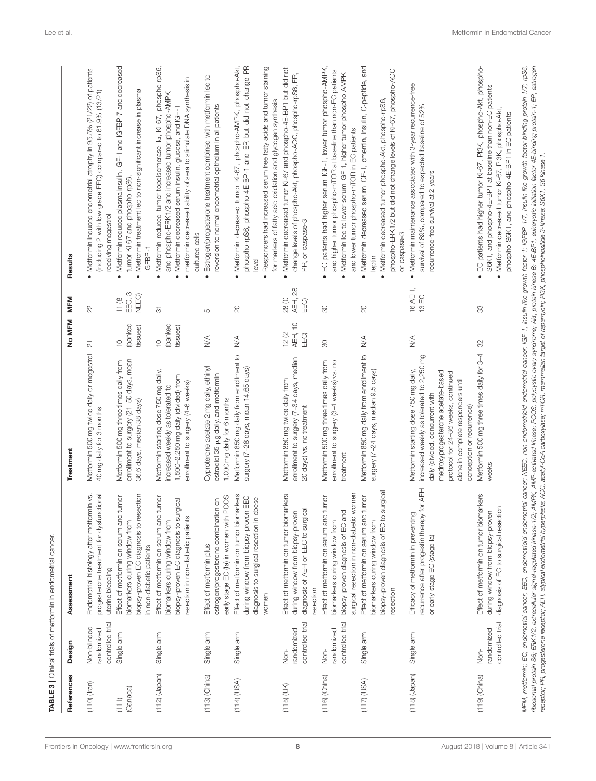| References        | Design                                        | Assessment                                                                                                                                                  | Treatment                                                                                                                                                                                                                                                           | No MFM                                | MFM                                 | Results                                                                                                                                                                                                                                                                |
|-------------------|-----------------------------------------------|-------------------------------------------------------------------------------------------------------------------------------------------------------------|---------------------------------------------------------------------------------------------------------------------------------------------------------------------------------------------------------------------------------------------------------------------|---------------------------------------|-------------------------------------|------------------------------------------------------------------------------------------------------------------------------------------------------------------------------------------------------------------------------------------------------------------------|
| $(110)$ (Iran)    | controlled trial<br>Non-blinded<br>randomized | progesterone treatment for dysfunctional<br>Ś.<br>Endometrial histology after metformin<br>uterine bleeding                                                 | Metformin 500 mg twice daily or megestrol<br>40 mg daily for 3 months                                                                                                                                                                                               | $\overline{\mathbb{S}}$               | 22                                  | • Metformin induced endometrial atrophy in 95.5% (21/22) of patients<br>(including 2 with low grade EEC) compared to 61.9% (13/21)<br>receiving megestrol                                                                                                              |
| (Canada)<br>(111) | Single arm                                    | biopsy-proven EC diagnosis to resection<br>Effect of metformin on serum and tumor<br>biomarkers during window from<br>in non-diabetic patients              | enrollment to surgery (21-50 days, mean<br>Metformin 500 mg three times daily from<br>36.6 days, median 38 days)                                                                                                                                                    | (banked)<br>tissues)<br>$\frac{1}{2}$ | EEC, 3<br>NEEC)<br>11(8)            | Metformin reduced plasma insulin, IGF-1 and IGFBP-7 and decreased<br>Metformin treatment led to non-significant increase in plasma<br>tumor Ki-67 and phospho-rpS6<br>IGFBP-1<br>$\bullet$<br>$\bullet$                                                                |
| $(112)$ (Japan)   | Single arm                                    | Effect of metformin on serum and tumor<br>ज़<br>biopsy-proven EC diagnosis to surgic<br>resection in non-diabetic patients<br>biomarkers during window from | Metformin starting dose 750 mg daily,<br>1,500-2,250 mg daily (divided) from<br>enrollment to surgery (4-6 weeks)<br>increased weekly as tolerated to                                                                                                               | (banked)<br>tissues)<br>$\frac{0}{1}$ | $\overline{\odot}$                  | Metformin reduced tumor topoisomerase lla, Ki-67, phospho-rpS6,<br>metformin decreased ability of sera to stimulate DNA synthesis in<br>and phospho-ERK1/2 and increased tumor phospho-AMPK<br>Metformin decreased serum insulin, glucose, and IGF-1<br>cultured cells |
| $(113)$ (China)   | Single arm                                    | early stage EC (la) in women with PCOS<br>estrogen/progesterone combination on<br>Effect of metformin plus                                                  | Cyproterone acetate 2 mg daily, ethinyl<br>estradiol 35 µg daily, and metformin<br>1,000 mg daily for 6 months                                                                                                                                                      | $\stackrel{\triangleleft}{\geq}$      | LO                                  | Estrogen/progesterone treatment combined with metformin led to<br>reversion to normal endometrial epithelium in all patients<br>$\bullet$                                                                                                                              |
| $(114)$ (USA)     | Single arm                                    | Effect of metformin on tumor biomarkers<br>during window from biopsy-proven EEC<br>diagnosis to surgical resection in obese<br>momen                        | Metformin 850 mg daily from enrollment to<br>surgery (7-28 days, mean 14.65 days)                                                                                                                                                                                   | $\frac{4}{2}$                         | $\rm 20$                            | Metformin decreased tumor Ki-67, phospho-AMPK, phospho-Akt,<br>phospho-rpS6, phospho-4E-BP-1 and ER but did not change PR<br>Responders had increased serum free fatty acids and tumor staining<br>for markers of fatty acid oxidation and glycogen synthesis<br>level |
| $(115)$ (UK)      | controlled trial<br>randomized<br>Non-        | Effect of metformin on tumor biomarkers<br>diagnosis of AEH or EEC to surgical<br>during window from biopsy-proven<br>resection                             | enrollment to surgery (7-34 days, median<br>Metformin 850 mg twice daily from<br>20 days) vs. no treatment                                                                                                                                                          | <b>AEH, 10</b><br>12(2)<br>EEO)       | <b>AEH, 28</b><br>28 (0<br>EEO)     | Metformin decreased tumor Ki-67 and phospho-4E-BP1 but did not<br>E<br>change levels of phospho-Akt, phospho-ACC, phospho-rpS6,<br>PR, or caspase-3<br>$\bullet$                                                                                                       |
| $(116)$ (China)   | controlled trial<br>randomized<br>Non-        | surgical resection in non-diabetic women<br>Effect of metformin on serum and tumor<br>biopsy-proven diagnosis of EC and<br>biomarkers during window from    | Metformin 500 mg three times daily from<br>enrollment to surgery (3-4 weeks) vs. no<br>treatment                                                                                                                                                                    | 80                                    | 8                                   | EC patients had higher serum IGF-1, lower tumor phospho-AMPK,<br>and higher tumor phospho-mTOR at baseline than non-EC patients<br>Metformin led to lower serum IGF-1, higher tumor phospho-AMPK<br>and lower tumor phospho-mTOR in EC patients<br>$\bullet$           |
| $(117)$ (USA)     | Single arm                                    | biopsy-proven diagnosis of EC to surgical<br>Effect of metformin on serum and tumor<br>biomarkers during window from<br>resection                           | Metformin 850mg daily from enrollment to<br>surgery (7-24 days, median 9.5 days)                                                                                                                                                                                    | $\stackrel{\triangle}{\geq}$          | 20                                  | Metformin decreased serum IGF-1, omentin, insulin, C-peptide, and<br>phospho-ERK1/2 but did not change levels of Ki-67, phospho-ACC<br>Metformin decreased tumor phospho-Akt, phospho-rpS6<br>or caspase-3<br>leptin                                                   |
| $(118)$ (Japan)   | Single arm                                    | <b>AEH</b><br>recurrence after progestin therapy for<br>Efficacy of metformin in preventing<br>or early stage EC (stage la)                                 | increased weekly as tolerated to 2,250 mg<br>Metformin starting dose 750mg daily,<br>medroxyprogesterone acetate-based<br>protocol for 24-36 weeks, continued<br>alone in complete responders until<br>daily (divided, concurrent with<br>conception or recurrence) | $\stackrel{\triangleleft}{\geq}$      | 16 AEH,<br>$\Xi$<br>$\overline{12}$ | Metformin maintenance associated with 3-year recurrence-free<br>survival of 89%, compared to expected baseline of 52%<br>recurrence-free survival at 2 years<br>$\bullet$                                                                                              |
| $(119)$ (China)   | controlled trial<br>randomized<br>Non-        | ers<br>Effect of metformin on tumor biomark<br>diagnosis of EC to surgical resection<br>during window from biopsy-proven                                    | Metformin 500 mg three times daily for 3-4<br>weeks                                                                                                                                                                                                                 | SS                                    | SS                                  | EC patients had higher tumor Ki-67, PI3K, phospho-Akt, phospho-<br>S6K1, and phospho-4E-BP1 at baseline than non-EC patients<br>Metformin decreased tumor Ki-67, PI3K, phospho-Akt,<br>phospho-S6K1, and phospho-4E-BP1 in EC patients                                 |

receptor; PR, progestarone receptor; AEH, atypical endometrial hyperplasia; ACC, acetyl-CoA carboxylase; mTOR, mammalian target of rapamycin; PI3K, phosphoinositide 3-kinase; S6K1, S6 kinase 1. receptor; PR, progesterone receptor; AEH, atypical endometrial hyperplasia; ACC, acetyl-CoA carboxylase; mTOR, mammalian target of rapamycin; PI3K, phosphoinositide 3-kinase; S6K inase 1.

<span id="page-9-0"></span>TABLE 3 | Clinical trials of metformin in endometrial cancer.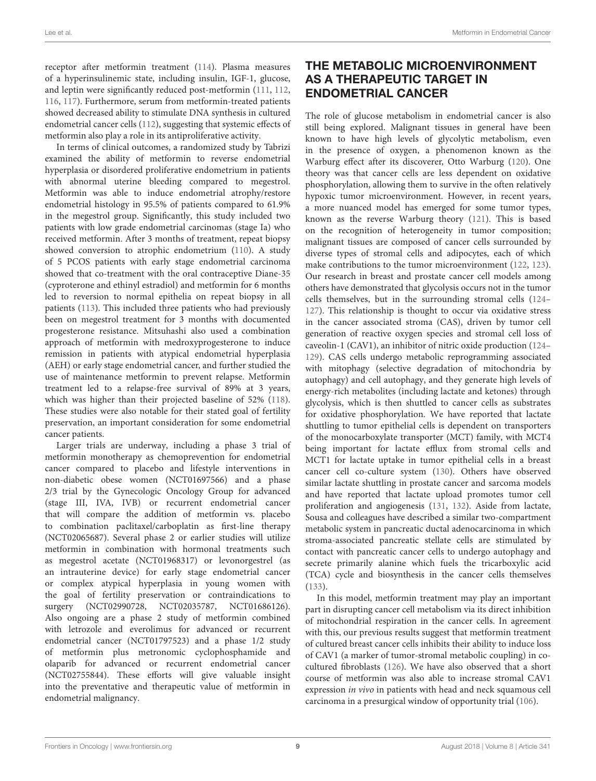receptor after metformin treatment [\(114\)](#page-14-24). Plasma measures of a hyperinsulinemic state, including insulin, IGF-1, glucose, and leptin were significantly reduced post-metformin [\(111,](#page-14-23) [112,](#page-14-22) [116,](#page-14-28) [117\)](#page-14-27). Furthermore, serum from metformin-treated patients showed decreased ability to stimulate DNA synthesis in cultured endometrial cancer cells [\(112\)](#page-14-22), suggesting that systemic effects of metformin also play a role in its antiproliferative activity.

In terms of clinical outcomes, a randomized study by Tabrizi examined the ability of metformin to reverse endometrial hyperplasia or disordered proliferative endometrium in patients with abnormal uterine bleeding compared to megestrol. Metformin was able to induce endometrial atrophy/restore endometrial histology in 95.5% of patients compared to 61.9% in the megestrol group. Significantly, this study included two patients with low grade endometrial carcinomas (stage Ia) who received metformin. After 3 months of treatment, repeat biopsy showed conversion to atrophic endometrium [\(110\)](#page-14-29). A study of 5 PCOS patients with early stage endometrial carcinoma showed that co-treatment with the oral contraceptive Diane-35 (cyproterone and ethinyl estradiol) and metformin for 6 months led to reversion to normal epithelia on repeat biopsy in all patients [\(113\)](#page-14-30). This included three patients who had previously been on megestrol treatment for 3 months with documented progesterone resistance. Mitsuhashi also used a combination approach of metformin with medroxyprogesterone to induce remission in patients with atypical endometrial hyperplasia (AEH) or early stage endometrial cancer, and further studied the use of maintenance metformin to prevent relapse. Metformin treatment led to a relapse-free survival of 89% at 3 years, which was higher than their projected baseline of 52% [\(118\)](#page-14-31). These studies were also notable for their stated goal of fertility preservation, an important consideration for some endometrial cancer patients.

Larger trials are underway, including a phase 3 trial of metformin monotherapy as chemoprevention for endometrial cancer compared to placebo and lifestyle interventions in non-diabetic obese women (NCT01697566) and a phase 2/3 trial by the Gynecologic Oncology Group for advanced (stage III, IVA, IVB) or recurrent endometrial cancer that will compare the addition of metformin vs. placebo to combination paclitaxel/carboplatin as first-line therapy (NCT02065687). Several phase 2 or earlier studies will utilize metformin in combination with hormonal treatments such as megestrol acetate (NCT01968317) or levonorgestrel (as an intrauterine device) for early stage endometrial cancer or complex atypical hyperplasia in young women with the goal of fertility preservation or contraindications to surgery (NCT02990728, NCT02035787, NCT01686126). Also ongoing are a phase 2 study of metformin combined with letrozole and everolimus for advanced or recurrent endometrial cancer (NCT01797523) and a phase 1/2 study of metformin plus metronomic cyclophosphamide and olaparib for advanced or recurrent endometrial cancer (NCT02755844). These efforts will give valuable insight into the preventative and therapeutic value of metformin in endometrial malignancy.

### THE METABOLIC MICROENVIRONMENT AS A THERAPEUTIC TARGET IN ENDOMETRIAL CANCER

The role of glucose metabolism in endometrial cancer is also still being explored. Malignant tissues in general have been known to have high levels of glycolytic metabolism, even in the presence of oxygen, a phenomenon known as the Warburg effect after its discoverer, Otto Warburg [\(120\)](#page-14-32). One theory was that cancer cells are less dependent on oxidative phosphorylation, allowing them to survive in the often relatively hypoxic tumor microenvironment. However, in recent years, a more nuanced model has emerged for some tumor types, known as the reverse Warburg theory [\(121\)](#page-15-0). This is based on the recognition of heterogeneity in tumor composition; malignant tissues are composed of cancer cells surrounded by diverse types of stromal cells and adipocytes, each of which make contributions to the tumor microenvironment [\(122,](#page-15-1) [123\)](#page-15-2). Our research in breast and prostate cancer cell models among others have demonstrated that glycolysis occurs not in the tumor cells themselves, but in the surrounding stromal cells [\(124–](#page-15-3) [127\)](#page-15-4). This relationship is thought to occur via oxidative stress in the cancer associated stroma (CAS), driven by tumor cell generation of reactive oxygen species and stromal cell loss of caveolin-1 (CAV1), an inhibitor of nitric oxide production [\(124–](#page-15-3) [129\)](#page-15-5). CAS cells undergo metabolic reprogramming associated with mitophagy (selective degradation of mitochondria by autophagy) and cell autophagy, and they generate high levels of energy-rich metabolites (including lactate and ketones) through glycolysis, which is then shuttled to cancer cells as substrates for oxidative phosphorylation. We have reported that lactate shuttling to tumor epithelial cells is dependent on transporters of the monocarboxylate transporter (MCT) family, with MCT4 being important for lactate efflux from stromal cells and MCT1 for lactate uptake in tumor epithelial cells in a breast cancer cell co-culture system [\(130\)](#page-15-6). Others have observed similar lactate shuttling in prostate cancer and sarcoma models and have reported that lactate upload promotes tumor cell proliferation and angiogenesis [\(131,](#page-15-7) [132\)](#page-15-8). Aside from lactate, Sousa and colleagues have described a similar two-compartment metabolic system in pancreatic ductal adenocarcinoma in which stroma-associated pancreatic stellate cells are stimulated by contact with pancreatic cancer cells to undergo autophagy and secrete primarily alanine which fuels the tricarboxylic acid (TCA) cycle and biosynthesis in the cancer cells themselves [\(133\)](#page-15-9).

In this model, metformin treatment may play an important part in disrupting cancer cell metabolism via its direct inhibition of mitochondrial respiration in the cancer cells. In agreement with this, our previous results suggest that metformin treatment of cultured breast cancer cells inhibits their ability to induce loss of CAV1 (a marker of tumor-stromal metabolic coupling) in cocultured fibroblasts [\(126\)](#page-15-10). We have also observed that a short course of metformin was also able to increase stromal CAV1 expression in vivo in patients with head and neck squamous cell carcinoma in a presurgical window of opportunity trial [\(106\)](#page-14-18).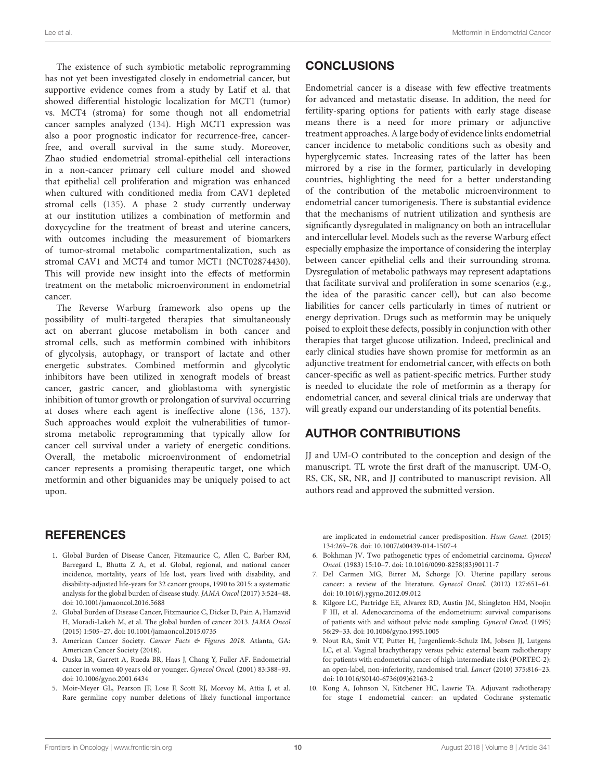The existence of such symbiotic metabolic reprogramming has not yet been investigated closely in endometrial cancer, but supportive evidence comes from a study by Latif et al. that showed differential histologic localization for MCT1 (tumor) vs. MCT4 (stroma) for some though not all endometrial cancer samples analyzed [\(134\)](#page-15-11). High MCT1 expression was also a poor prognostic indicator for recurrence-free, cancerfree, and overall survival in the same study. Moreover, Zhao studied endometrial stromal-epithelial cell interactions in a non-cancer primary cell culture model and showed that epithelial cell proliferation and migration was enhanced when cultured with conditioned media from CAV1 depleted stromal cells [\(135\)](#page-15-12). A phase 2 study currently underway at our institution utilizes a combination of metformin and doxycycline for the treatment of breast and uterine cancers, with outcomes including the measurement of biomarkers of tumor-stromal metabolic compartmentalization, such as stromal CAV1 and MCT4 and tumor MCT1 (NCT02874430). This will provide new insight into the effects of metformin treatment on the metabolic microenvironment in endometrial cancer.

The Reverse Warburg framework also opens up the possibility of multi-targeted therapies that simultaneously act on aberrant glucose metabolism in both cancer and stromal cells, such as metformin combined with inhibitors of glycolysis, autophagy, or transport of lactate and other energetic substrates. Combined metformin and glycolytic inhibitors have been utilized in xenograft models of breast cancer, gastric cancer, and glioblastoma with synergistic inhibition of tumor growth or prolongation of survival occurring at doses where each agent is ineffective alone [\(136,](#page-15-13) [137\)](#page-15-14). Such approaches would exploit the vulnerabilities of tumorstroma metabolic reprogramming that typically allow for cancer cell survival under a variety of energetic conditions. Overall, the metabolic microenvironment of endometrial cancer represents a promising therapeutic target, one which metformin and other biguanides may be uniquely poised to act upon.

### **REFERENCES**

- <span id="page-11-0"></span>1. Global Burden of Disease Cancer, Fitzmaurice C, Allen C, Barber RM, Barregard L, Bhutta Z A, et al. Global, regional, and national cancer incidence, mortality, years of life lost, years lived with disability, and disability-adjusted life-years for 32 cancer groups, 1990 to 2015: a systematic analysis for the global burden of disease study. JAMA Oncol (2017) 3:524–48. doi: [10.1001/jamaoncol.2016.5688](https://doi.org/10.1001/jamaoncol.2016.5688)
- <span id="page-11-1"></span>2. Global Burden of Disease Cancer, Fitzmaurice C, Dicker D, Pain A, Hamavid H, Moradi-Lakeh M, et al. The global burden of cancer 2013. JAMA Oncol (2015) 1:505–27. doi: [10.1001/jamaoncol.2015.0735](https://doi.org/10.1001/jamaoncol.2015.0735)
- <span id="page-11-2"></span>3. American Cancer Society. Cancer Facts & Figures 2018. Atlanta, GA: American Cancer Society (2018).
- <span id="page-11-3"></span>4. Duska LR, Garrett A, Rueda BR, Haas J, Chang Y, Fuller AF. Endometrial cancer in women 40 years old or younger. Gynecol Oncol. (2001) 83:388–93. doi: [10.1006/gyno.2001.6434](https://doi.org/10.1006/gyno.2001.6434)
- <span id="page-11-4"></span>5. Moir-Meyer GL, Pearson JF, Lose F, Scott RJ, Mcevoy M, Attia J, et al. Rare germline copy number deletions of likely functional importance

### **CONCLUSIONS**

Endometrial cancer is a disease with few effective treatments for advanced and metastatic disease. In addition, the need for fertility-sparing options for patients with early stage disease means there is a need for more primary or adjunctive treatment approaches. A large body of evidence links endometrial cancer incidence to metabolic conditions such as obesity and hyperglycemic states. Increasing rates of the latter has been mirrored by a rise in the former, particularly in developing countries, highlighting the need for a better understanding of the contribution of the metabolic microenvironment to endometrial cancer tumorigenesis. There is substantial evidence that the mechanisms of nutrient utilization and synthesis are significantly dysregulated in malignancy on both an intracellular and intercellular level. Models such as the reverse Warburg effect especially emphasize the importance of considering the interplay between cancer epithelial cells and their surrounding stroma. Dysregulation of metabolic pathways may represent adaptations that facilitate survival and proliferation in some scenarios (e.g., the idea of the parasitic cancer cell), but can also become liabilities for cancer cells particularly in times of nutrient or energy deprivation. Drugs such as metformin may be uniquely poised to exploit these defects, possibly in conjunction with other therapies that target glucose utilization. Indeed, preclinical and early clinical studies have shown promise for metformin as an adjunctive treatment for endometrial cancer, with effects on both cancer-specific as well as patient-specific metrics. Further study is needed to elucidate the role of metformin as a therapy for endometrial cancer, and several clinical trials are underway that will greatly expand our understanding of its potential benefits.

### AUTHOR CONTRIBUTIONS

JJ and UM-O contributed to the conception and design of the manuscript. TL wrote the first draft of the manuscript. UM-O, RS, CK, SR, NR, and JJ contributed to manuscript revision. All authors read and approved the submitted version.

are implicated in endometrial cancer predisposition. Hum Genet. (2015) 134:269–78. doi: [10.1007/s00439-014-1507-4](https://doi.org/10.1007/s00439-014-1507-4)

- <span id="page-11-5"></span>6. Bokhman JV. Two pathogenetic types of endometrial carcinoma. Gynecol Oncol. (1983) 15:10–7. doi: [10.1016/0090-8258\(83\)90111-7](https://doi.org/10.1016/0090-8258(83)90111-7)
- <span id="page-11-6"></span>7. Del Carmen MG, Birrer M, Schorge JO. Uterine papillary serous cancer: a review of the literature. Gynecol Oncol. (2012) 127:651–61. doi: [10.1016/j.ygyno.2012.09.012](https://doi.org/10.1016/j.ygyno.2012.09.012)
- <span id="page-11-7"></span>8. Kilgore LC, Partridge EE, Alvarez RD, Austin JM, Shingleton HM, Noojin F III, et al. Adenocarcinoma of the endometrium: survival comparisons of patients with and without pelvic node sampling. Gynecol Oncol. (1995) 56:29–33. doi: [10.1006/gyno.1995.1005](https://doi.org/10.1006/gyno.1995.1005)
- <span id="page-11-8"></span>9. Nout RA, Smit VT, Putter H, Jurgenliemk-Schulz IM, Jobsen JJ, Lutgens LC, et al. Vaginal brachytherapy versus pelvic external beam radiotherapy for patients with endometrial cancer of high-intermediate risk (PORTEC-2): an open-label, non-inferiority, randomised trial. Lancet (2010) 375:816–23. doi: [10.1016/S0140-6736\(09\)62163-2](https://doi.org/10.1016/S0140-6736(09)62163-2)
- <span id="page-11-9"></span>10. Kong A, Johnson N, Kitchener HC, Lawrie TA. Adjuvant radiotherapy for stage I endometrial cancer: an updated Cochrane systematic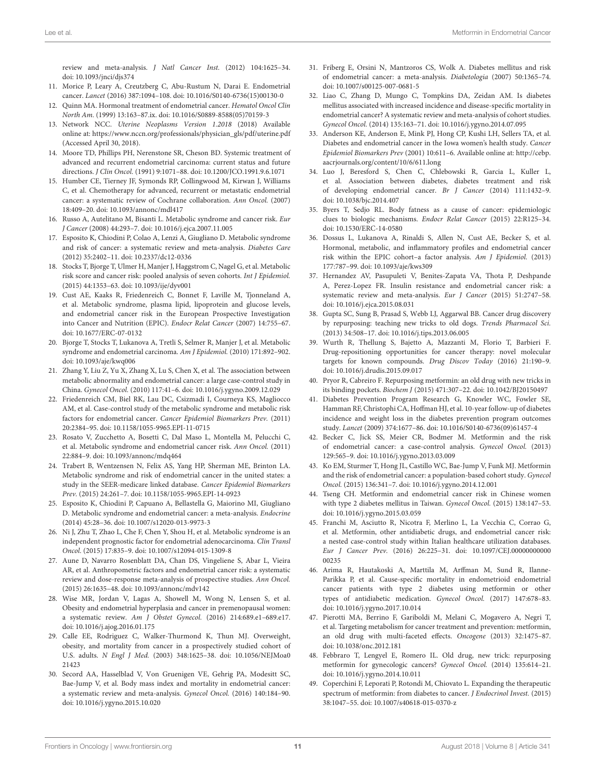review and meta-analysis. J Natl Cancer Inst. (2012) 104:1625–34. doi: [10.1093/jnci/djs374](https://doi.org/10.1093/jnci/djs374)

- <span id="page-12-0"></span>11. Morice P, Leary A, Creutzberg C, Abu-Rustum N, Darai E. Endometrial cancer. Lancet (2016) 387:1094–108. doi: [10.1016/S0140-6736\(15\)00130-0](https://doi.org/10.1016/S0140-6736(15)00130-0)
- 12. Quinn MA. Hormonal treatment of endometrial cancer. Hematol Oncol Clin North Am. (1999) 13:163–87.ix. doi: [10.1016/S0889-8588\(05\)70159-3](https://doi.org/10.1016/S0889-8588(05)70159-3)
- <span id="page-12-1"></span>13. Network NCC. Uterine Neoplasms Version 1.2018 (2018) Available online at: [https://www.nccn.org/professionals/physician\\_gls/pdf/uterine.pdf](https://www.nccn.org/professionals/physician_gls/pdf/uterine.pdf) (Accessed April 30, 2018).
- <span id="page-12-2"></span>14. Moore TD, Phillips PH, Nerenstone SR, Cheson BD. Systemic treatment of advanced and recurrent endometrial carcinoma: current status and future directions. J Clin Oncol. (1991) 9:1071–88. doi: [10.1200/JCO.1991.9.6.1071](https://doi.org/10.1200/JCO.1991.9.6.1071)
- <span id="page-12-3"></span>15. Humber CE, Tierney JF, Symonds RP, Collingwood M, Kirwan J, Williams C, et al. Chemotherapy for advanced, recurrent or metastatic endometrial cancer: a systematic review of Cochrane collaboration. Ann Oncol. (2007) 18:409–20. doi: [10.1093/annonc/mdl417](https://doi.org/10.1093/annonc/mdl417)
- <span id="page-12-4"></span>16. Russo A, Autelitano M, Bisanti L. Metabolic syndrome and cancer risk. Eur J Cancer (2008) 44:293–7. doi: [10.1016/j.ejca.2007.11.005](https://doi.org/10.1016/j.ejca.2007.11.005)
- 17. Esposito K, Chiodini P, Colao A, Lenzi A, Giugliano D. Metabolic syndrome and risk of cancer: a systematic review and meta-analysis. Diabetes Care (2012) 35:2402–11. doi: [10.2337/dc12-0336](https://doi.org/10.2337/dc12-0336)
- <span id="page-12-5"></span>18. Stocks T, Bjorge T, Ulmer H, Manjer J, Haggstrom C, Nagel G, et al. Metabolic risk score and cancer risk: pooled analysis of seven cohorts. Int J Epidemiol. (2015) 44:1353–63. doi: [10.1093/ije/dyv001](https://doi.org/10.1093/ije/dyv001)
- <span id="page-12-6"></span>19. Cust AE, Kaaks R, Friedenreich C, Bonnet F, Laville M, Tjonneland A, et al. Metabolic syndrome, plasma lipid, lipoprotein and glucose levels, and endometrial cancer risk in the European Prospective Investigation into Cancer and Nutrition (EPIC). Endocr Relat Cancer (2007) 14:755–67. doi: [10.1677/ERC-07-0132](https://doi.org/10.1677/ERC-07-0132)
- 20. Bjorge T, Stocks T, Lukanova A, Tretli S, Selmer R, Manjer J, et al. Metabolic syndrome and endometrial carcinoma. Am J Epidemiol. (2010) 171:892–902. doi: [10.1093/aje/kwq006](https://doi.org/10.1093/aje/kwq006)
- <span id="page-12-10"></span>21. Zhang Y, Liu Z, Yu X, Zhang X, Lu S, Chen X, et al. The association between metabolic abnormality and endometrial cancer: a large case-control study in China. Gynecol Oncol. (2010) 117:41–6. doi: [10.1016/j.ygyno.2009.12.029](https://doi.org/10.1016/j.ygyno.2009.12.029)
- 22. Friedenreich CM, Biel RK, Lau DC, Csizmadi I, Courneya KS, Magliocco AM, et al. Case-control study of the metabolic syndrome and metabolic risk factors for endometrial cancer. Cancer Epidemiol Biomarkers Prev. (2011) 20:2384–95. doi: [10.1158/1055-9965.EPI-11-0715](https://doi.org/10.1158/1055-9965.EPI-11-0715)
- 23. Rosato V, Zucchetto A, Bosetti C, Dal Maso L, Montella M, Pelucchi C, et al. Metabolic syndrome and endometrial cancer risk. Ann Oncol. (2011) 22:884–9. doi: [10.1093/annonc/mdq464](https://doi.org/10.1093/annonc/mdq464)
- <span id="page-12-7"></span>24. Trabert B, Wentzensen N, Felix AS, Yang HP, Sherman ME, Brinton LA. Metabolic syndrome and risk of endometrial cancer in the united states: a study in the SEER-medicare linked database. Cancer Epidemiol Biomarkers Prev. (2015) 24:261–7. doi: [10.1158/1055-9965.EPI-14-0923](https://doi.org/10.1158/1055-9965.EPI-14-0923)
- <span id="page-12-8"></span>25. Esposito K, Chiodini P, Capuano A, Bellastella G, Maiorino MI, Giugliano D. Metabolic syndrome and endometrial cancer: a meta-analysis. Endocrine (2014) 45:28–36. doi: [10.1007/s12020-013-9973-3](https://doi.org/10.1007/s12020-013-9973-3)
- <span id="page-12-9"></span>26. Ni J, Zhu T, Zhao L, Che F, Chen Y, Shou H, et al. Metabolic syndrome is an independent prognostic factor for endometrial adenocarcinoma. Clin Transl Oncol. (2015) 17:835–9. doi: [10.1007/s12094-015-1309-8](https://doi.org/10.1007/s12094-015-1309-8)
- <span id="page-12-11"></span>27. Aune D, Navarro Rosenblatt DA, Chan DS, Vingeliene S, Abar L, Vieira AR, et al. Anthropometric factors and endometrial cancer risk: a systematic review and dose-response meta-analysis of prospective studies. Ann Oncol. (2015) 26:1635–48. doi: [10.1093/annonc/mdv142](https://doi.org/10.1093/annonc/mdv142)
- <span id="page-12-12"></span>28. Wise MR, Jordan V, Lagas A, Showell M, Wong N, Lensen S, et al. Obesity and endometrial hyperplasia and cancer in premenopausal women: a systematic review. Am J Obstet Gynecol. (2016) 214:689.e1–689.e17. doi: [10.1016/j.ajog.2016.01.175](https://doi.org/10.1016/j.ajog.2016.01.175)
- <span id="page-12-13"></span>29. Calle EE, Rodriguez C, Walker-Thurmond K, Thun MJ. Overweight, obesity, and mortality from cancer in a prospectively studied cohort of U.S. adults. N Engl J Med. [\(2003\) 348:1625–38. doi: 10.1056/NEJMoa0](https://doi.org/10.1056/NEJMoa021423) 21423
- <span id="page-12-14"></span>30. Secord AA, Hasselblad V, Von Gruenigen VE, Gehrig PA, Modesitt SC, Bae-Jump V, et al. Body mass index and mortality in endometrial cancer: a systematic review and meta-analysis. Gynecol Oncol. (2016) 140:184–90. doi: [10.1016/j.ygyno.2015.10.020](https://doi.org/10.1016/j.ygyno.2015.10.020)
- <span id="page-12-15"></span>31. Friberg E, Orsini N, Mantzoros CS, Wolk A. Diabetes mellitus and risk of endometrial cancer: a meta-analysis. Diabetologia (2007) 50:1365–74. doi: [10.1007/s00125-007-0681-5](https://doi.org/10.1007/s00125-007-0681-5)
- <span id="page-12-16"></span>32. Liao C, Zhang D, Mungo C, Tompkins DA, Zeidan AM. Is diabetes mellitus associated with increased incidence and disease-specific mortality in endometrial cancer? A systematic review and meta-analysis of cohort studies. Gynecol Oncol. (2014) 135:163–71. doi: [10.1016/j.ygyno.2014.07.095](https://doi.org/10.1016/j.ygyno.2014.07.095)
- <span id="page-12-17"></span>33. Anderson KE, Anderson E, Mink PJ, Hong CP, Kushi LH, Sellers TA, et al. Diabetes and endometrial cancer in the Iowa women's health study. Cancer Epidemiol Biomarkers Prev (2001) 10:611–6. Available online at: [http://cebp.](http://cebp.aacrjournals.org/content/10/6/611.long) [aacrjournals.org/content/10/6/611.long](http://cebp.aacrjournals.org/content/10/6/611.long)
- <span id="page-12-18"></span>34. Luo J, Beresford S, Chen C, Chlebowski R, Garcia L, Kuller L, et al. Association between diabetes, diabetes treatment and risk of developing endometrial cancer. Br J Cancer (2014) 111:1432–9. doi: [10.1038/bjc.2014.407](https://doi.org/10.1038/bjc.2014.407)
- <span id="page-12-19"></span>35. Byers T, Sedjo RL. Body fatness as a cause of cancer: epidemiologic clues to biologic mechanisms. Endocr Relat Cancer (2015) 22:R125–34. doi: [10.1530/ERC-14-0580](https://doi.org/10.1530/ERC-14-0580)
- <span id="page-12-20"></span>36. Dossus L, Lukanova A, Rinaldi S, Allen N, Cust AE, Becker S, et al. Hormonal, metabolic, and inflammatory profiles and endometrial cancer risk within the EPIC cohort–a factor analysis. Am J Epidemiol. (2013) 177:787–99. doi: [10.1093/aje/kws309](https://doi.org/10.1093/aje/kws309)
- <span id="page-12-21"></span>37. Hernandez AV, Pasupuleti V, Benites-Zapata VA, Thota P, Deshpande A, Perez-Lopez FR. Insulin resistance and endometrial cancer risk: a systematic review and meta-analysis. Eur J Cancer (2015) 51:2747–58. doi: [10.1016/j.ejca.2015.08.031](https://doi.org/10.1016/j.ejca.2015.08.031)
- <span id="page-12-22"></span>38. Gupta SC, Sung B, Prasad S, Webb LJ, Aggarwal BB. Cancer drug discovery by repurposing: teaching new tricks to old dogs. Trends Pharmacol Sci. (2013) 34:508–17. doi: [10.1016/j.tips.2013.06.005](https://doi.org/10.1016/j.tips.2013.06.005)
- <span id="page-12-23"></span>39. Wurth R, Thellung S, Bajetto A, Mazzanti M, Florio T, Barbieri F. Drug-repositioning opportunities for cancer therapy: novel molecular targets for known compounds. Drug Discov Today (2016) 21:190–9. doi: [10.1016/j.drudis.2015.09.017](https://doi.org/10.1016/j.drudis.2015.09.017)
- <span id="page-12-24"></span>Pryor R, Cabreiro F. Repurposing metformin: an old drug with new tricks in its binding pockets. Biochem J (2015) 471:307–22. doi: [10.1042/BJ20150497](https://doi.org/10.1042/BJ20150497)
- <span id="page-12-25"></span>41. Diabetes Prevention Program Research G, Knowler WC, Fowler SE, Hamman RF, Christophi CA, Hoffman HJ, et al. 10-year follow-up of diabetes incidence and weight loss in the diabetes prevention program outcomes study. Lancet (2009) 374:1677–86. doi: [10.1016/S0140-6736\(09\)61457-4](https://doi.org/10.1016/S0140-6736(09)61457-4)
- <span id="page-12-27"></span>42. Becker C, Jick SS, Meier CR, Bodmer M. Metformin and the risk of endometrial cancer: a case-control analysis. Gynecol Oncol. (2013) 129:565–9. doi: [10.1016/j.ygyno.2013.03.009](https://doi.org/10.1016/j.ygyno.2013.03.009)
- <span id="page-12-28"></span>43. Ko EM, Sturmer T, Hong JL, Castillo WC, Bae-Jump V, Funk MJ. Metformin and the risk of endometrial cancer: a population-based cohort study. Gynecol Oncol. (2015) 136:341–7. doi: [10.1016/j.ygyno.2014.12.001](https://doi.org/10.1016/j.ygyno.2014.12.001)
- <span id="page-12-31"></span>44. Tseng CH. Metformin and endometrial cancer risk in Chinese women with type 2 diabetes mellitus in Taiwan. Gynecol Oncol. (2015) 138:147–53. doi: [10.1016/j.ygyno.2015.03.059](https://doi.org/10.1016/j.ygyno.2015.03.059)
- <span id="page-12-29"></span>45. Franchi M, Asciutto R, Nicotra F, Merlino L, La Vecchia C, Corrao G, et al. Metformin, other antidiabetic drugs, and endometrial cancer risk: a nested case-control study within Italian healthcare utilization databases. Eur J Cancer Prev. [\(2016\) 26:225–31. doi: 10.1097/CEJ.00000000000](https://doi.org/10.1097/CEJ.0000000000000235) 00235
- <span id="page-12-30"></span>46. Arima R, Hautakoski A, Marttila M, Arffman M, Sund R, Ilanne-Parikka P, et al. Cause-specific mortality in endometrioid endometrial cancer patients with type 2 diabetes using metformin or other types of antidiabetic medication. Gynecol Oncol. (2017) 147:678–83. doi: [10.1016/j.ygyno.2017.10.014](https://doi.org/10.1016/j.ygyno.2017.10.014)
- <span id="page-12-26"></span>47. Pierotti MA, Berrino F, Gariboldi M, Melani C, Mogavero A, Negri T, et al. Targeting metabolism for cancer treatment and prevention: metformin, an old drug with multi-faceted effects. Oncogene (2013) 32:1475–87. doi: [10.1038/onc.2012.181](https://doi.org/10.1038/onc.2012.181)
- 48. Febbraro T, Lengyel E, Romero IL. Old drug, new trick: repurposing metformin for gynecologic cancers? Gynecol Oncol. (2014) 135:614–21. doi: [10.1016/j.ygyno.2014.10.011](https://doi.org/10.1016/j.ygyno.2014.10.011)
- Coperchini F, Leporati P, Rotondi M, Chiovato L. Expanding the therapeutic spectrum of metformin: from diabetes to cancer. *J Endocrinol Invest*. (2015) 38:1047–55. doi: [10.1007/s40618-015-0370-z](https://doi.org/10.1007/s40618-015-0370-z)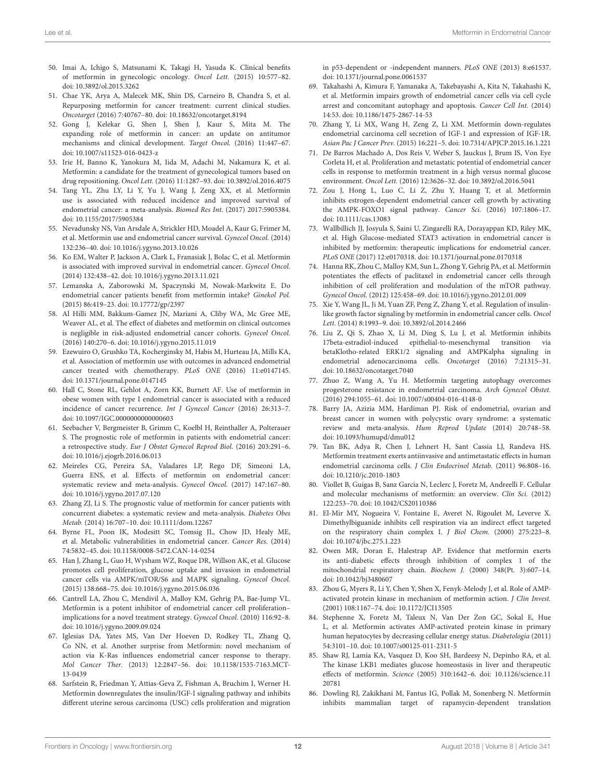- 50. Imai A, Ichigo S, Matsunami K, Takagi H, Yasuda K. Clinical benefits of metformin in gynecologic oncology. Oncol Lett. (2015) 10:577–82. doi: [10.3892/ol.2015.3262](https://doi.org/10.3892/ol.2015.3262)
- 51. Chae YK, Arya A, Malecek MK, Shin DS, Carneiro B, Chandra S, et al. Repurposing metformin for cancer treatment: current clinical studies. Oncotarget (2016) 7:40767–80. doi: [10.18632/oncotarget.8194](https://doi.org/10.18632/oncotarget.8194)
- 52. Gong J, Kelekar G, Shen J, Shen J, Kaur S, Mita M. The expanding role of metformin in cancer: an update on antitumor mechanisms and clinical development. Target Oncol. (2016) 11:447–67. doi: [10.1007/s11523-016-0423-z](https://doi.org/10.1007/s11523-016-0423-z)
- <span id="page-13-0"></span>53. Irie H, Banno K, Yanokura M, Iida M, Adachi M, Nakamura K, et al. Metformin: a candidate for the treatment of gynecological tumors based on drug repositioning. Oncol Lett. (2016) 11:1287–93. doi: [10.3892/ol.2016.4075](https://doi.org/10.3892/ol.2016.4075)
- <span id="page-13-1"></span>54. Tang YL, Zhu LY, Li Y, Yu J, Wang J, Zeng XX, et al. Metformin use is associated with reduced incidence and improved survival of endometrial cancer: a meta-analysis. Biomed Res Int. (2017) 2017:5905384. doi: [10.1155/2017/5905384](https://doi.org/10.1155/2017/5905384)
- <span id="page-13-7"></span>55. Nevadunsky NS, Van Arsdale A, Strickler HD, Moadel A, Kaur G, Frimer M, et al. Metformin use and endometrial cancer survival. Gynecol Oncol. (2014) 132:236–40. doi: [10.1016/j.ygyno.2013.10.026](https://doi.org/10.1016/j.ygyno.2013.10.026)
- <span id="page-13-2"></span>56. Ko EM, Walter P, Jackson A, Clark L, Franasiak J, Bolac C, et al. Metformin is associated with improved survival in endometrial cancer. Gynecol Oncol. (2014) 132:438–42. doi: [10.1016/j.ygyno.2013.11.021](https://doi.org/10.1016/j.ygyno.2013.11.021)
- <span id="page-13-4"></span>57. Lemanska A, Zaborowski M, Spaczynski M, Nowak-Markwitz E. Do endometrial cancer patients benefit from metformin intake? Ginekol Pol. (2015) 86:419–23. doi: [10.17772/gp/2397](https://doi.org/10.17772/gp/2397)
- <span id="page-13-5"></span>58. Al Hilli MM, Bakkum-Gamez JN, Mariani A, Cliby WA, Mc Gree ME, Weaver AL, et al. The effect of diabetes and metformin on clinical outcomes is negligible in risk-adjusted endometrial cancer cohorts. Gynecol Oncol. (2016) 140:270–6. doi: [10.1016/j.ygyno.2015.11.019](https://doi.org/10.1016/j.ygyno.2015.11.019)
- <span id="page-13-3"></span>59. Ezewuiro O, Grushko TA, Kocherginsky M, Habis M, Hurteau JA, Mills KA, et al. Association of metformin use with outcomes in advanced endometrial cancer treated with chemotherapy. PLoS ONE (2016) 11:e0147145. doi: [10.1371/journal.pone.0147145](https://doi.org/10.1371/journal.pone.0147145)
- <span id="page-13-8"></span>60. Hall C, Stone RL, Gehlot A, Zorn KK, Burnett AF. Use of metformin in obese women with type I endometrial cancer is associated with a reduced incidence of cancer recurrence. Int J Gynecol Cancer (2016) 26:313–7. doi: [10.1097/IGC.0000000000000603](https://doi.org/10.1097/IGC.0000000000000603)
- <span id="page-13-6"></span>61. Seebacher V, Bergmeister B, Grimm C, Koelbl H, Reinthaller A, Polterauer S. The prognostic role of metformin in patients with endometrial cancer: a retrospective study. Eur J Obstet Gynecol Reprod Biol. (2016) 203:291–6. doi: [10.1016/j.ejogrb.2016.06.013](https://doi.org/10.1016/j.ejogrb.2016.06.013)
- <span id="page-13-9"></span>62. Meireles CG, Pereira SA, Valadares LP, Rego DF, Simeoni LA, Guerra ENS, et al. Effects of metformin on endometrial cancer: systematic review and meta-analysis. Gynecol Oncol. (2017) 147:167–80. doi: [10.1016/j.ygyno.2017.07.120](https://doi.org/10.1016/j.ygyno.2017.07.120)
- <span id="page-13-10"></span>63. Zhang ZJ, Li S. The prognostic value of metformin for cancer patients with concurrent diabetes: a systematic review and meta-analysis. Diabetes Obes Metab. (2014) 16:707–10. doi: [10.1111/dom.12267](https://doi.org/10.1111/dom.12267)
- <span id="page-13-11"></span>64. Byrne FL, Poon IK, Modesitt SC, Tomsig JL, Chow JD, Healy ME, et al. Metabolic vulnerabilities in endometrial cancer. Cancer Res. (2014) 74:5832–45. doi: [10.1158/0008-5472.CAN-14-0254](https://doi.org/10.1158/0008-5472.CAN-14-0254)
- <span id="page-13-12"></span>65. Han J, Zhang L, Guo H, Wysham WZ, Roque DR, Willson AK, et al. Glucose promotes cell proliferation, glucose uptake and invasion in endometrial cancer cells via AMPK/mTOR/S6 and MAPK signaling. Gynecol Oncol. (2015) 138:668–75. doi: [10.1016/j.ygyno.2015.06.036](https://doi.org/10.1016/j.ygyno.2015.06.036)
- <span id="page-13-13"></span>66. Cantrell LA, Zhou C, Mendivil A, Malloy KM, Gehrig PA, Bae-Jump VL. Metformin is a potent inhibitor of endometrial cancer cell proliferation– implications for a novel treatment strategy. Gynecol Oncol. (2010) 116:92–8. doi: [10.1016/j.ygyno.2009.09.024](https://doi.org/10.1016/j.ygyno.2009.09.024)
- <span id="page-13-18"></span>67. Iglesias DA, Yates MS, Van Der Hoeven D, Rodkey TL, Zhang Q, Co NN, et al. Another surprise from Metformin: novel mechanism of action via K-Ras influences endometrial cancer response to therapy. Mol Cancer Ther. [\(2013\) 12:2847–56. doi: 10.1158/1535-7163.MCT-](https://doi.org/10.1158/1535-7163.MCT-13-0439)13-0439
- <span id="page-13-15"></span>68. Sarfstein R, Friedman Y, Attias-Geva Z, Fishman A, Bruchim I, Werner H. Metformin downregulates the insulin/IGF-I signaling pathway and inhibits different uterine serous carcinoma (USC) cells proliferation and migration

in p53-dependent or -independent manners. PLoS ONE (2013) 8:e61537. doi: [10.1371/journal.pone.0061537](https://doi.org/10.1371/journal.pone.0061537)

- <span id="page-13-16"></span>69. Takahashi A, Kimura F, Yamanaka A, Takebayashi A, Kita N, Takahashi K, et al. Metformin impairs growth of endometrial cancer cells via cell cycle arrest and concomitant autophagy and apoptosis. Cancer Cell Int. (2014) 14:53. doi: [10.1186/1475-2867-14-53](https://doi.org/10.1186/1475-2867-14-53)
- <span id="page-13-33"></span>70. Zhang Y, Li MX, Wang H, Zeng Z, Li XM. Metformin down-regulates endometrial carcinoma cell secretion of IGF-1 and expression of IGF-1R. Asian Pac J Cancer Prev. (2015) 16:221–5. doi: [10.7314/APJCP.2015.16.1.221](https://doi.org/10.7314/APJCP.2015.16.1.221)
- <span id="page-13-23"></span>71. De Barros Machado A, Dos Reis V, Weber S, Jauckus J, Brum IS, Von Eye Corleta H, et al. Proliferation and metastatic potential of endometrial cancer cells in response to metformin treatment in a high versus normal glucose environment. Oncol Lett. (2016) 12:3626–32. doi: [10.3892/ol.2016.5041](https://doi.org/10.3892/ol.2016.5041)
- <span id="page-13-19"></span>72. Zou J, Hong L, Luo C, Li Z, Zhu Y, Huang T, et al. Metformin inhibits estrogen-dependent endometrial cancer cell growth by activating the AMPK-FOXO1 signal pathway. Cancer Sci. (2016) 107:1806–17. doi: [10.1111/cas.13083](https://doi.org/10.1111/cas.13083)
- <span id="page-13-14"></span>73. Wallbillich JJ, Josyula S, Saini U, Zingarelli RA, Dorayappan KD, Riley MK, et al. High Glucose-mediated STAT3 activation in endometrial cancer is inhibited by metformin: therapeutic implications for endometrial cancer. PLoS ONE (2017) 12:e0170318. doi: [10.1371/journal.pone.0170318](https://doi.org/10.1371/journal.pone.0170318)
- <span id="page-13-17"></span>74. Hanna RK, Zhou C, Malloy KM, Sun L, Zhong Y, Gehrig PA, et al. Metformin potentiates the effects of paclitaxel in endometrial cancer cells through inhibition of cell proliferation and modulation of the mTOR pathway. Gynecol Oncol. (2012) 125:458–69. doi: [10.1016/j.ygyno.2012.01.009](https://doi.org/10.1016/j.ygyno.2012.01.009)
- <span id="page-13-20"></span>75. Xie Y, Wang JL, Ji M, Yuan ZF, Peng Z, Zhang Y, et al. Regulation of insulinlike growth factor signaling by metformin in endometrial cancer cells. Oncol Lett. (2014) 8:1993–9. doi: [10.3892/ol.2014.2466](https://doi.org/10.3892/ol.2014.2466)
- <span id="page-13-21"></span>76. Liu Z, Qi S, Zhao X, Li M, Ding S, Lu J, et al. Metformin inhibits 17beta-estradiol-induced epithelial-to-mesenchymal transition via betaKlotho-related ERK1/2 signaling and AMPKalpha signaling in endometrial adenocarcinoma cells. Oncotarget (2016) 7:21315–31. doi: [10.18632/oncotarget.7040](https://doi.org/10.18632/oncotarget.7040)
- <span id="page-13-22"></span>77. Zhuo Z, Wang A, Yu H. Metformin targeting autophagy overcomes progesterone resistance in endometrial carcinoma. Arch Gynecol Obstet. (2016) 294:1055–61. doi: [10.1007/s00404-016-4148-0](https://doi.org/10.1007/s00404-016-4148-0)
- <span id="page-13-24"></span>78. Barry JA, Azizia MM, Hardiman PJ. Risk of endometrial, ovarian and breast cancer in women with polycystic ovary syndrome: a systematic review and meta-analysis. Hum Reprod Update (2014) 20:748–58. doi: [10.1093/humupd/dmu012](https://doi.org/10.1093/humupd/dmu012)
- <span id="page-13-25"></span>79. Tan BK, Adya R, Chen J, Lehnert H, Sant Cassia LJ, Randeva HS. Metformin treatment exerts antiinvasive and antimetastatic effects in human endometrial carcinoma cells. J Clin Endocrinol Metab. (2011) 96:808–16. doi: [10.1210/jc.2010-1803](https://doi.org/10.1210/jc.2010-1803)
- <span id="page-13-26"></span>80. Viollet B, Guigas B, Sanz Garcia N, Leclerc J, Foretz M, Andreelli F. Cellular and molecular mechanisms of metformin: an overview. Clin Sci. (2012) 122:253–70. doi: [10.1042/CS20110386](https://doi.org/10.1042/CS20110386)
- <span id="page-13-27"></span>81. El-Mir MY, Nogueira V, Fontaine E, Averet N, Rigoulet M, Leverve X. Dimethylbiguanide inhibits cell respiration via an indirect effect targeted on the respiratory chain complex I. J Biol Chem. (2000) 275:223–8. doi: [10.1074/jbc.275.1.223](https://doi.org/10.1074/jbc.275.1.223)
- <span id="page-13-28"></span>82. Owen MR, Doran E, Halestrap AP. Evidence that metformin exerts its anti-diabetic effects through inhibition of complex 1 of the mitochondrial respiratory chain. Biochem J. (2000) 348(Pt. 3):607–14. doi: [10.1042/bj3480607](https://doi.org/10.1042/bj3480607)
- <span id="page-13-29"></span>83. Zhou G, Myers R, Li Y, Chen Y, Shen X, Fenyk-Melody J, et al. Role of AMPactivated protein kinase in mechanism of metformin action. J Clin Invest. (2001) 108:1167–74. doi: [10.1172/JCI13505](https://doi.org/10.1172/JCI13505)
- <span id="page-13-30"></span>84. Stephenne X, Foretz M, Taleux N, Van Der Zon GC, Sokal E, Hue L, et al. Metformin activates AMP-activated protein kinase in primary human hepatocytes by decreasing cellular energy status. Diabetologia (2011) 54:3101–10. doi: [10.1007/s00125-011-2311-5](https://doi.org/10.1007/s00125-011-2311-5)
- <span id="page-13-31"></span>85. Shaw RJ, Lamia KA, Vasquez D, Koo SH, Bardeesy N, Depinho RA, et al. The kinase LKB1 mediates glucose homeostasis in liver and therapeutic effects of metformin. Science [\(2005\) 310:1642–6. doi: 10.1126/science.11](https://doi.org/10.1126/science.1120781) 20781
- <span id="page-13-32"></span>86. Dowling RJ, Zakikhani M, Fantus IG, Pollak M, Sonenberg N. Metformin inhibits mammalian target of rapamycin-dependent translation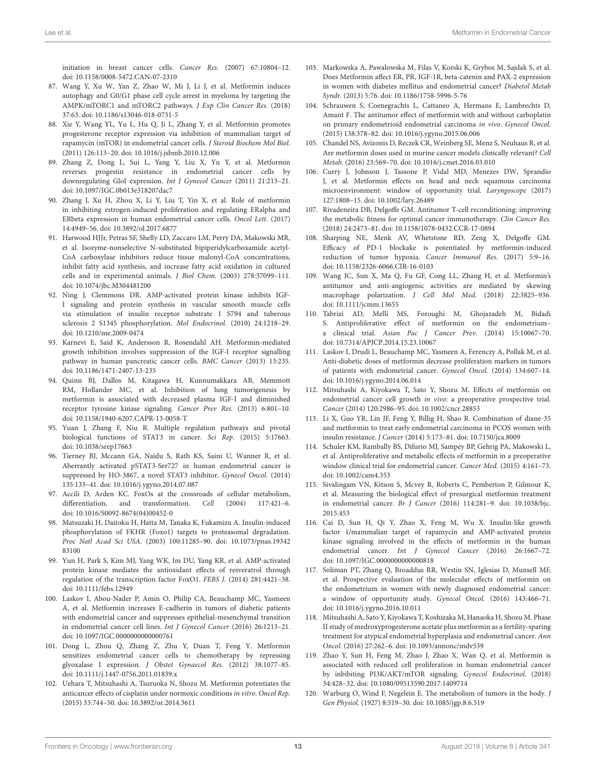initiation in breast cancer cells. Cancer Res. (2007) 67:10804–12. doi: [10.1158/0008-5472.CAN-07-2310](https://doi.org/10.1158/0008-5472.CAN-07-2310)

- <span id="page-14-0"></span>87. Wang Y, Xu W, Yan Z, Zhao W, Mi J, Li J, et al. Metformin induces autophagy and G0/G1 phase cell cycle arrest in myeloma by targeting the AMPK/mTORC1 and mTORC2 pathways. J Exp Clin Cancer Res. (2018) 37:63. doi: [10.1186/s13046-018-0731-5](https://doi.org/10.1186/s13046-018-0731-5)
- <span id="page-14-1"></span>88. Xie Y, Wang YL, Yu L, Hu Q, Ji L, Zhang Y, et al. Metformin promotes progesterone receptor expression via inhibition of mammalian target of rapamycin (mTOR) in endometrial cancer cells. J Steroid Biochem Mol Biol. (2011) 126:113–20. doi: [10.1016/j.jsbmb.2010.12.006](https://doi.org/10.1016/j.jsbmb.2010.12.006)
- <span id="page-14-14"></span>89. Zhang Z, Dong L, Sui L, Yang Y, Liu X, Yu Y, et al. Metformin reverses progestin resistance in endometrial cancer cells by downregulating GloI expression. Int J Gynecol Cancer (2011) 21:213–21. doi: [10.1097/IGC.0b013e318207dac7](https://doi.org/10.1097/IGC.0b013e318207dac7)
- <span id="page-14-2"></span>90. Zhang J, Xu H, Zhou X, Li Y, Liu T, Yin X, et al. Role of metformin in inhibiting estrogen-induced proliferation and regulating ERalpha and ERbeta expression in human endometrial cancer cells. Oncol Lett. (2017) 14:4949–56. doi: [10.3892/ol.2017.6877](https://doi.org/10.3892/ol.2017.6877)
- <span id="page-14-3"></span>91. Harwood HJJr, Petras SF, Shelly LD, Zaccaro LM, Perry DA, Makowski MR, et al. Isozyme-nonselective N-substituted bipiperidylcarboxamide acetyl-CoA carboxylase inhibitors reduce tissue malonyl-CoA concentrations, inhibit fatty acid synthesis, and increase fatty acid oxidation in cultured cells and in experimental animals. J Biol Chem. (2003) 278:37099–111. doi: [10.1074/jbc.M304481200](https://doi.org/10.1074/jbc.M304481200)
- <span id="page-14-4"></span>92. Ning J, Clemmons DR. AMP-activated protein kinase inhibits IGF-I signaling and protein synthesis in vascular smooth muscle cells via stimulation of insulin receptor substrate 1 S794 and tuberous sclerosis 2 S1345 phosphorylation. Mol Endocrinol. (2010) 24:1218–29. doi: [10.1210/me.2009-0474](https://doi.org/10.1210/me.2009-0474)
- 93. Karnevi E, Said K, Andersson R, Rosendahl AH. Metformin-mediated growth inhibition involves suppression of the IGF-I receptor signalling pathway in human pancreatic cancer cells. BMC Cancer (2013) 13:235. doi: [10.1186/1471-2407-13-235](https://doi.org/10.1186/1471-2407-13-235)
- <span id="page-14-5"></span>94. Quinn BJ, Dallos M, Kitagawa H, Kunnumakkara AB, Memmott RM, Hollander MC, et al. Inhibition of lung tumorigenesis by metformin is associated with decreased plasma IGF-I and diminished receptor tyrosine kinase signaling. Cancer Prev Res. (2013) 6:801–10. doi: [10.1158/1940-6207.CAPR-13-0058-T](https://doi.org/10.1158/1940-6207.CAPR-13-0058-T)
- <span id="page-14-6"></span>95. Yuan J, Zhang F, Niu R. Multiple regulation pathways and pivotal biological functions of STAT3 in cancer. Sci Rep. (2015) 5:17663. doi: [10.1038/srep17663](https://doi.org/10.1038/srep17663)
- <span id="page-14-7"></span>96. Tierney BJ, Mccann GA, Naidu S, Rath KS, Saini U, Wanner R, et al. Aberrantly activated pSTAT3-Ser727 in human endometrial cancer is suppressed by HO-3867, a novel STAT3 inhibitor. Gynecol Oncol. (2014) 135:133–41. doi: [10.1016/j.ygyno.2014.07.087](https://doi.org/10.1016/j.ygyno.2014.07.087)
- <span id="page-14-8"></span>97. Accili D, Arden KC. FoxOs at the crossroads of cellular metabolism, differentiation, and transformation. Cell (2004) 117:421–6. doi: [10.1016/S0092-8674\(04\)00452-0](https://doi.org/10.1016/S0092-8674(04)00452-0)
- <span id="page-14-9"></span>98. Matsuzaki H, Daitoku H, Hatta M, Tanaka K, Fukamizu A. Insulin-induced phosphorylation of FKHR (Foxo1) targets to proteasomal degradation. Proc Natl Acad Sci USA. [\(2003\) 100:11285–90. doi: 10.1073/pnas.19342](https://doi.org/10.1073/pnas.1934283100) 83100
- <span id="page-14-10"></span>99. Yun H, Park S, Kim MJ, Yang WK, Im DU, Yang KR, et al. AMP-activated protein kinase mediates the antioxidant effects of resveratrol through regulation of the transcription factor FoxO1. FEBS J. (2014) 281:4421–38. doi: [10.1111/febs.12949](https://doi.org/10.1111/febs.12949)
- <span id="page-14-11"></span>100. Laskov I, Abou-Nader P, Amin O, Philip CA, Beauchamp MC, Yasmeen A, et al. Metformin increases E-cadherin in tumors of diabetic patients with endometrial cancer and suppresses epithelial-mesenchymal transition in endometrial cancer cell lines. Int J Gynecol Cancer (2016) 26:1213–21. doi: [10.1097/IGC.0000000000000761](https://doi.org/10.1097/IGC.0000000000000761)
- <span id="page-14-12"></span>101. Dong L, Zhou Q, Zhang Z, Zhu Y, Duan T, Feng Y. Metformin sensitizes endometrial cancer cells to chemotherapy by repressing glyoxalase I expression. J Obstet Gynaecol Res. (2012) 38:1077–85. doi: [10.1111/j.1447-0756.2011.01839.x](https://doi.org/10.1111/j.1447-0756.2011.01839.x)
- <span id="page-14-13"></span>102. Uehara T, Mitsuhashi A, Tsuruoka N, Shozu M. Metformin potentiates the anticancer effects of cisplatin under normoxic conditions in vitro. Oncol Rep. (2015) 33:744–50. doi: [10.3892/or.2014.3611](https://doi.org/10.3892/or.2014.3611)
- <span id="page-14-15"></span>103. Markowska A, Pawalowska M, Filas V, Korski K, Grybos M, Sajdak S, et al. Does Metformin affect ER, PR, IGF-1R, beta-catenin and PAX-2 expression in women with diabetes mellitus and endometrial cancer? Diabetol Metab Syndr. (2013) 5:76. doi: [10.1186/1758-5996-5-76](https://doi.org/10.1186/1758-5996-5-76)
- <span id="page-14-16"></span>104. Schrauwen S, Coenegrachts L, Cattaneo A, Hermans E, Lambrechts D, Amant F. The antitumor effect of metformin with and without carboplatin on primary endometrioid endometrial carcinoma in vivo. Gynecol Oncol. (2015) 138:378–82. doi: [10.1016/j.ygyno.2015.06.006](https://doi.org/10.1016/j.ygyno.2015.06.006)
- <span id="page-14-17"></span>105. Chandel NS, Avizonis D, Reczek CR, Weinberg SE, Menz S, Neuhaus R, et al. Are metformin doses used in murine cancer models clinically relevant? Cell Metab. (2016) 23:569–70. doi: [10.1016/j.cmet.2016.03.010](https://doi.org/10.1016/j.cmet.2016.03.010)
- <span id="page-14-18"></span>106. Curry J, Johnson J, Tassone P, Vidal MD, Menezes DW, Sprandio J, et al. Metformin effects on head and neck squamous carcinoma microenvironment: window of opportunity trial. Laryngoscope (2017) 127:1808–15. doi: [10.1002/lary.26489](https://doi.org/10.1002/lary.26489)
- <span id="page-14-19"></span>107. Rivadeneira DB, Delgoffe GM. Antitumor T-cell reconditioning: improving the metabolic fitness for optimal cancer immunotherapy. Clin Cancer Res. (2018) 24:2473–81. doi: [10.1158/1078-0432.CCR-17-0894](https://doi.org/10.1158/1078-0432.CCR-17-0894)
- <span id="page-14-20"></span>108. Sharping NE, Menk AV, Whetstone RD, Zeng X, Delgoffe GM. Efficacy of PD-1 blockake is potentiated by metformin-induced reduction of tumor hypoxia. Cancer Immunol Res. (2017) 5:9–16. doi: [10.1158/2326-6066.CIR-16-0103](https://doi.org/10.1158/2326-6066.CIR-16-0103)
- <span id="page-14-21"></span>109. Wang JC, Sun X, Ma Q, Fu GF, Cong LL, Zhang H, et al. Metformin's antitumor and anti-angiogenic activities are mediated by skewing macrophage polarization. J Cell Mol Med. (2018) 22:3825–936. doi: [10.1111/jcmm.13655](https://doi.org/10.1111/jcmm.13655)
- <span id="page-14-29"></span>110. Tabrizi AD, Melli MS, Foroughi M, Ghojazadeh M, Bidadi S. Antiproliferative effect of metformin on the endometrium– a clinical trial. Asian Pac J Cancer Prev. (2014) 15:10067–70. doi: [10.7314/APJCP.2014.15.23.10067](https://doi.org/10.7314/APJCP.2014.15.23.10067)
- <span id="page-14-23"></span>111. Laskov I, Drudi L, Beauchamp MC, Yasmeen A, Ferenczy A, Pollak M, et al. Anti-diabetic doses of metformin decrease proliferation markers in tumors of patients with endometrial cancer. Gynecol Oncol. (2014) 134:607–14. doi: [10.1016/j.ygyno.2014.06.014](https://doi.org/10.1016/j.ygyno.2014.06.014)
- <span id="page-14-22"></span>112. Mitsuhashi A, Kiyokawa T, Sato Y, Shozu M. Effects of metformin on endometrial cancer cell growth in vivo: a preoperative prospective trial. Cancer (2014) 120:2986–95. doi: [10.1002/cncr.28853](https://doi.org/10.1002/cncr.28853)
- <span id="page-14-30"></span>113. Li X, Guo YR, Lin JF, Feng Y, Billig H, Shao R. Combination of diane-35 and metformin to treat early endometrial carcinoma in PCOS women with insulin resistance. J Cancer (2014) 5:173–81. doi: [10.7150/jca.8009](https://doi.org/10.7150/jca.8009)
- <span id="page-14-24"></span>114. Schuler KM, Rambally BS, Difurio MJ, Sampey BP, Gehrig PA, Makowski L, et al. Antiproliferative and metabolic effects of metformin in a preoperative window clinical trial for endometrial cancer. Cancer Med. (2015) 4:161–73. doi: [10.1002/cam4.353](https://doi.org/10.1002/cam4.353)
- <span id="page-14-25"></span>115. Sivalingam VN, Kitson S, Mcvey R, Roberts C, Pemberton P, Gilmour K, et al. Measuring the biological effect of presurgical metformin treatment in endometrial cancer. Br J Cancer [\(2016\) 114:281–9. doi: 10.1038/bjc.](https://doi.org/10.1038/bjc.2015.453) 2015.453
- <span id="page-14-28"></span>116. Cai D, Sun H, Qi Y, Zhao X, Feng M, Wu X. Insulin-like growth factor 1/mammalian target of rapamycin and AMP-activated protein kinase signaling involved in the effects of metformin in the human endometrial cancer. Int J Gynecol Cancer (2016) 26:1667–72. doi: [10.1097/IGC.0000000000000818](https://doi.org/10.1097/IGC.0000000000000818)
- <span id="page-14-27"></span>117. Soliman PT, Zhang Q, Broaddus RR, Westin SN, Iglesias D, Munsell MF, et al. Prospective evaluation of the molecular effects of metformin on the endometrium in women with newly diagnosed endometrial cancer: a window of opportunity study. Gynecol Oncol. (2016) 143:466–71. doi: [10.1016/j.ygyno.2016.10.011](https://doi.org/10.1016/j.ygyno.2016.10.011)
- <span id="page-14-31"></span>118. Mitsuhashi A, Sato Y, Kiyokawa T, Koshizaka M, Hanaoka H, Shozu M. Phase II study of medroxyprogesterone acetate plus metformin as a fertility-sparing treatment for atypical endometrial hyperplasia and endometrial cancer. Ann Oncol. (2016) 27:262–6. doi: [10.1093/annonc/mdv539](https://doi.org/10.1093/annonc/mdv539)
- <span id="page-14-26"></span>119. Zhao Y, Sun H, Feng M, Zhao J, Zhao X, Wan Q, et al. Metformin is associated with reduced cell proliferation in human endometrial cancer by inbibiting PI3K/AKT/mTOR signaling. Gynecol Endocrinol. (2018) 34:428–32. doi: [10.1080/09513590.2017.1409714](https://doi.org/10.1080/09513590.2017.1409714)
- <span id="page-14-32"></span>120. Warburg O, Wind F, Negelein E. The metabolism of tumors in the body. J Gen Physiol. (1927) 8:519–30. doi: [10.1085/jgp.8.6.519](https://doi.org/10.1085/jgp.8.6.519)